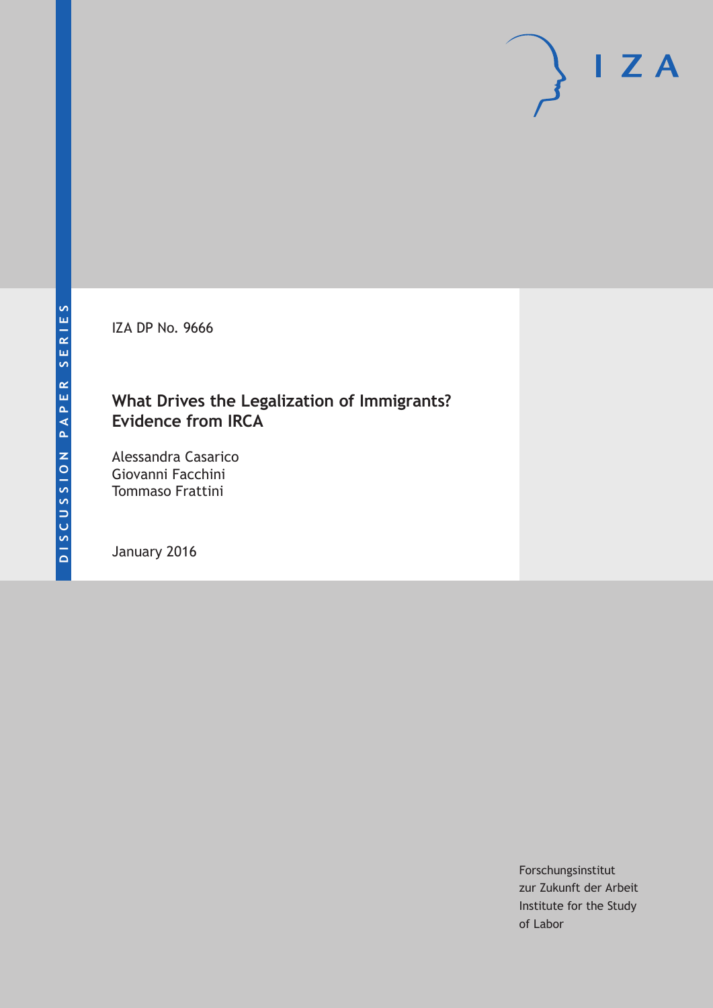IZA DP No. 9666

#### **What Drives the Legalization of Immigrants? Evidence from IRCA**

Alessandra Casarico Giovanni Facchini Tommaso Frattini

January 2016

Forschungsinstitut zur Zukunft der Arbeit Institute for the Study of Labor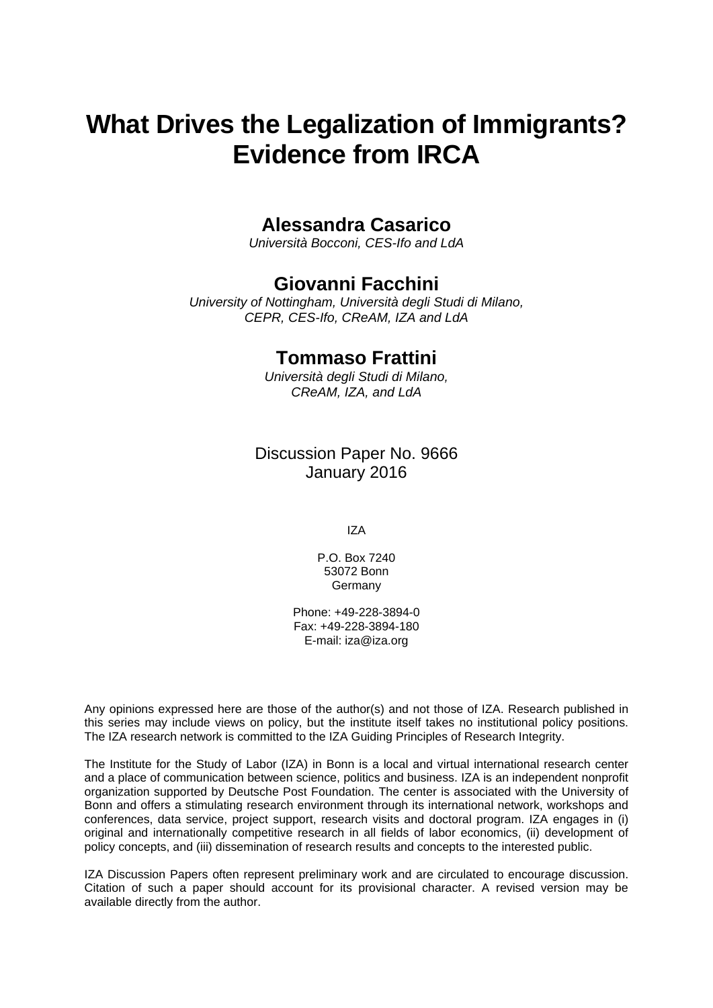# **What Drives the Legalization of Immigrants? Evidence from IRCA**

### **Alessandra Casarico**

*Università Bocconi, CES-Ifo and LdA* 

### **Giovanni Facchini**

*University of Nottingham, Università degli Studi di Milano, CEPR, CES-Ifo, CReAM, IZA and LdA* 

#### **Tommaso Frattini**

*Università degli Studi di Milano, CReAM, IZA, and LdA*

Discussion Paper No. 9666 January 2016

IZA

P.O. Box 7240 53072 Bonn Germany

Phone: +49-228-3894-0 Fax: +49-228-3894-180 E-mail: iza@iza.org

Any opinions expressed here are those of the author(s) and not those of IZA. Research published in this series may include views on policy, but the institute itself takes no institutional policy positions. The IZA research network is committed to the IZA Guiding Principles of Research Integrity.

The Institute for the Study of Labor (IZA) in Bonn is a local and virtual international research center and a place of communication between science, politics and business. IZA is an independent nonprofit organization supported by Deutsche Post Foundation. The center is associated with the University of Bonn and offers a stimulating research environment through its international network, workshops and conferences, data service, project support, research visits and doctoral program. IZA engages in (i) original and internationally competitive research in all fields of labor economics, (ii) development of policy concepts, and (iii) dissemination of research results and concepts to the interested public.

IZA Discussion Papers often represent preliminary work and are circulated to encourage discussion. Citation of such a paper should account for its provisional character. A revised version may be available directly from the author.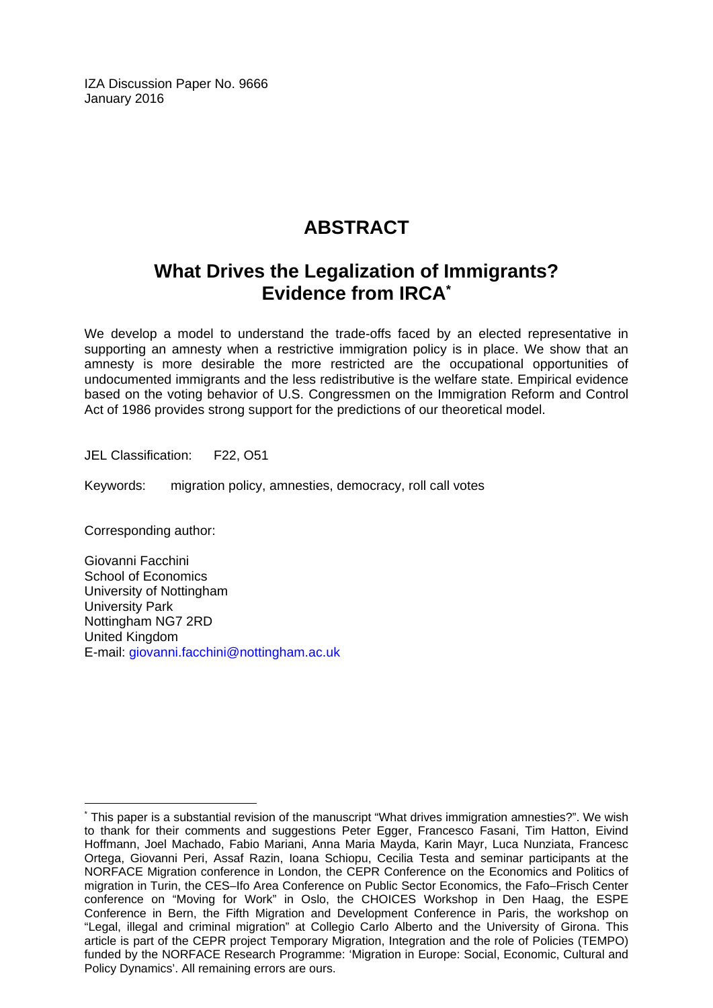IZA Discussion Paper No. 9666 January 2016

# **ABSTRACT**

## **What Drives the Legalization of Immigrants? Evidence from IRCA\***

We develop a model to understand the trade-offs faced by an elected representative in supporting an amnesty when a restrictive immigration policy is in place. We show that an amnesty is more desirable the more restricted are the occupational opportunities of undocumented immigrants and the less redistributive is the welfare state. Empirical evidence based on the voting behavior of U.S. Congressmen on the Immigration Reform and Control Act of 1986 provides strong support for the predictions of our theoretical model.

JEL Classification: F22, O51

Keywords: migration policy, amnesties, democracy, roll call votes

Corresponding author:

Giovanni Facchini School of Economics University of Nottingham University Park Nottingham NG7 2RD United Kingdom E-mail: giovanni.facchini@nottingham.ac.uk

 $\overline{a}$ \* This paper is a substantial revision of the manuscript "What drives immigration amnesties?". We wish to thank for their comments and suggestions Peter Egger, Francesco Fasani, Tim Hatton, Eivind Hoffmann, Joel Machado, Fabio Mariani, Anna Maria Mayda, Karin Mayr, Luca Nunziata, Francesc Ortega, Giovanni Peri, Assaf Razin, Ioana Schiopu, Cecilia Testa and seminar participants at the NORFACE Migration conference in London, the CEPR Conference on the Economics and Politics of migration in Turin, the CES–Ifo Area Conference on Public Sector Economics, the Fafo–Frisch Center conference on "Moving for Work" in Oslo, the CHOICES Workshop in Den Haag, the ESPE Conference in Bern, the Fifth Migration and Development Conference in Paris, the workshop on "Legal, illegal and criminal migration" at Collegio Carlo Alberto and the University of Girona. This article is part of the CEPR project Temporary Migration, Integration and the role of Policies (TEMPO) funded by the NORFACE Research Programme: 'Migration in Europe: Social, Economic, Cultural and Policy Dynamics'. All remaining errors are ours.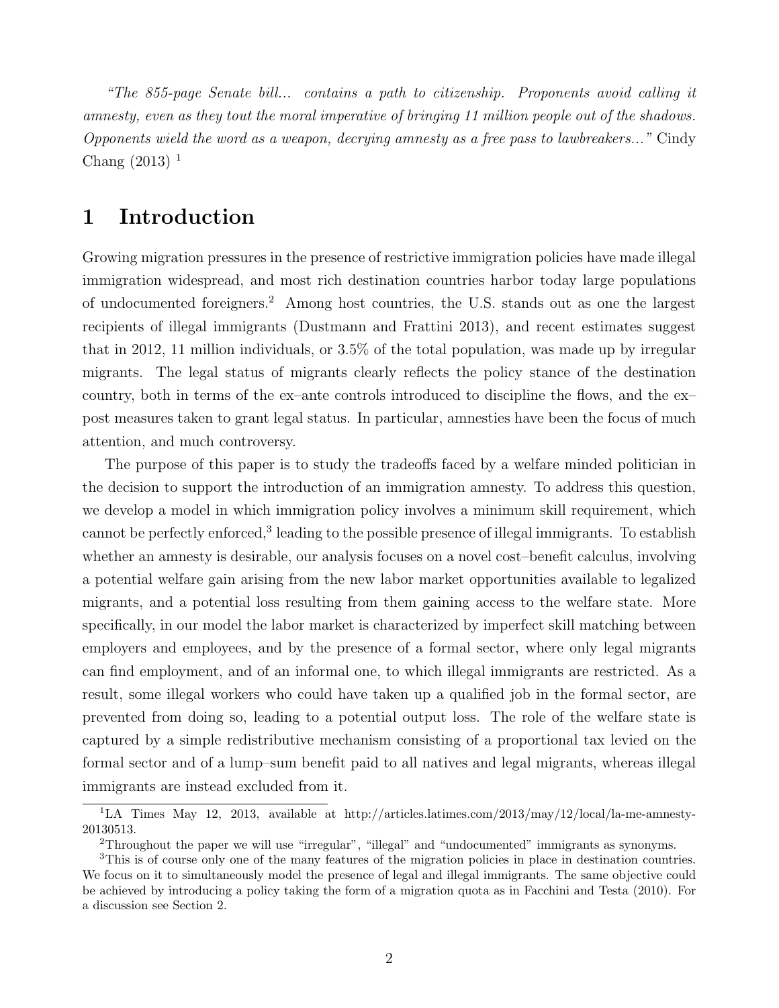*"The 855-page Senate bill... contains a path to citizenship. Proponents avoid calling it amnesty, even as they tout the moral imperative of bringing 11 million people out of the shadows. Opponents wield the word as a weapon, decrying amnesty as a free pass to lawbreakers..."* Cindy Chang  $(2013)^1$ 

#### **1 Introduction**

Growing migration pressures in the presence of restrictive immigration policies have made illegal immigration widespread, and most rich destination countries harbor today large populations of undocumented foreigners.<sup>2</sup> Among host countries, the U.S. stands out as one the largest recipients of illegal immigrants (Dustmann and Frattini 2013), and recent estimates suggest that in 2012, 11 million individuals, or 3.5% of the total population, was made up by irregular migrants. The legal status of migrants clearly reflects the policy stance of the destination country, both in terms of the ex–ante controls introduced to discipline the flows, and the ex– post measures taken to grant legal status. In particular, amnesties have been the focus of much attention, and much controversy.

The purpose of this paper is to study the tradeoffs faced by a welfare minded politician in the decision to support the introduction of an immigration amnesty. To address this question, we develop a model in which immigration policy involves a minimum skill requirement, which cannot be perfectly enforced,<sup>3</sup> leading to the possible presence of illegal immigrants. To establish whether an amnesty is desirable, our analysis focuses on a novel cost–benefit calculus, involving a potential welfare gain arising from the new labor market opportunities available to legalized migrants, and a potential loss resulting from them gaining access to the welfare state. More specifically, in our model the labor market is characterized by imperfect skill matching between employers and employees, and by the presence of a formal sector, where only legal migrants can find employment, and of an informal one, to which illegal immigrants are restricted. As a result, some illegal workers who could have taken up a qualified job in the formal sector, are prevented from doing so, leading to a potential output loss. The role of the welfare state is captured by a simple redistributive mechanism consisting of a proportional tax levied on the formal sector and of a lump–sum benefit paid to all natives and legal migrants, whereas illegal immigrants are instead excluded from it.

<sup>&</sup>lt;sup>1</sup>LA Times May 12, 2013, available at http://articles.latimes.com/2013/may/12/local/la-me-amnesty-20130513.

<sup>2</sup>Throughout the paper we will use "irregular", "illegal" and "undocumented" immigrants as synonyms.

<sup>3</sup>This is of course only one of the many features of the migration policies in place in destination countries. We focus on it to simultaneously model the presence of legal and illegal immigrants. The same objective could be achieved by introducing a policy taking the form of a migration quota as in Facchini and Testa (2010). For a discussion see Section 2.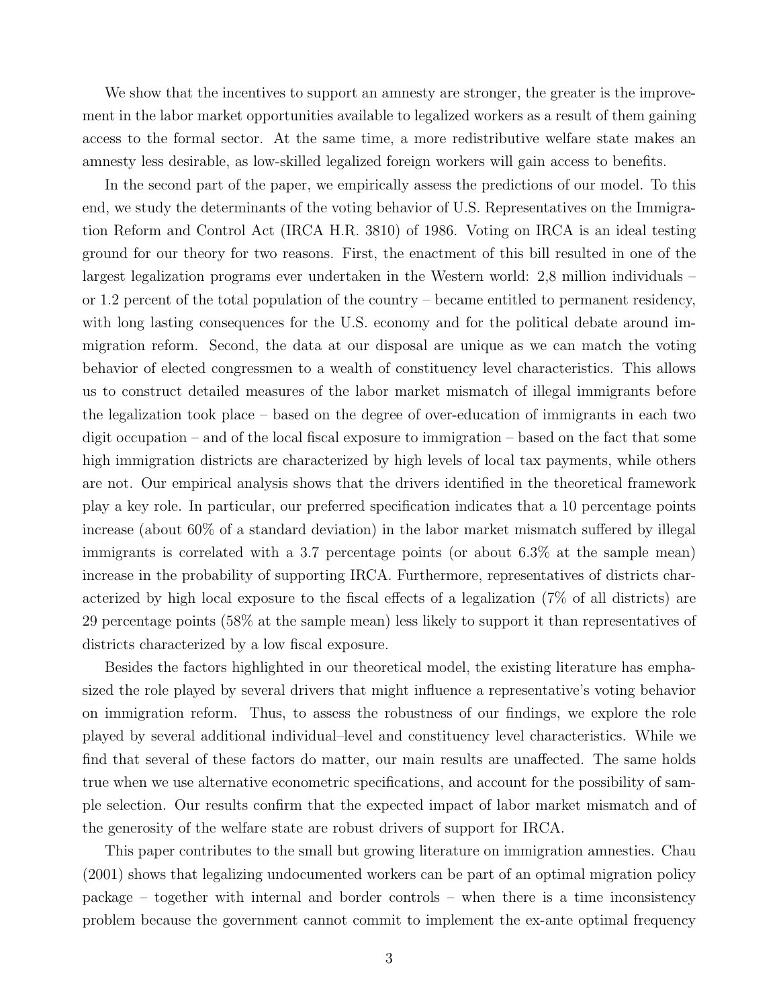We show that the incentives to support an amnesty are stronger, the greater is the improvement in the labor market opportunities available to legalized workers as a result of them gaining access to the formal sector. At the same time, a more redistributive welfare state makes an amnesty less desirable, as low-skilled legalized foreign workers will gain access to benefits.

In the second part of the paper, we empirically assess the predictions of our model. To this end, we study the determinants of the voting behavior of U.S. Representatives on the Immigration Reform and Control Act (IRCA H.R. 3810) of 1986. Voting on IRCA is an ideal testing ground for our theory for two reasons. First, the enactment of this bill resulted in one of the largest legalization programs ever undertaken in the Western world: 2,8 million individuals – or 1.2 percent of the total population of the country – became entitled to permanent residency, with long lasting consequences for the U.S. economy and for the political debate around immigration reform. Second, the data at our disposal are unique as we can match the voting behavior of elected congressmen to a wealth of constituency level characteristics. This allows us to construct detailed measures of the labor market mismatch of illegal immigrants before the legalization took place – based on the degree of over-education of immigrants in each two digit occupation – and of the local fiscal exposure to immigration – based on the fact that some high immigration districts are characterized by high levels of local tax payments, while others are not. Our empirical analysis shows that the drivers identified in the theoretical framework play a key role. In particular, our preferred specification indicates that a 10 percentage points increase (about 60% of a standard deviation) in the labor market mismatch suffered by illegal immigrants is correlated with a 3.7 percentage points (or about 6.3% at the sample mean) increase in the probability of supporting IRCA. Furthermore, representatives of districts characterized by high local exposure to the fiscal effects of a legalization (7% of all districts) are 29 percentage points (58% at the sample mean) less likely to support it than representatives of districts characterized by a low fiscal exposure.

Besides the factors highlighted in our theoretical model, the existing literature has emphasized the role played by several drivers that might influence a representative's voting behavior on immigration reform. Thus, to assess the robustness of our findings, we explore the role played by several additional individual–level and constituency level characteristics. While we find that several of these factors do matter, our main results are unaffected. The same holds true when we use alternative econometric specifications, and account for the possibility of sample selection. Our results confirm that the expected impact of labor market mismatch and of the generosity of the welfare state are robust drivers of support for IRCA.

This paper contributes to the small but growing literature on immigration amnesties. Chau (2001) shows that legalizing undocumented workers can be part of an optimal migration policy package – together with internal and border controls – when there is a time inconsistency problem because the government cannot commit to implement the ex-ante optimal frequency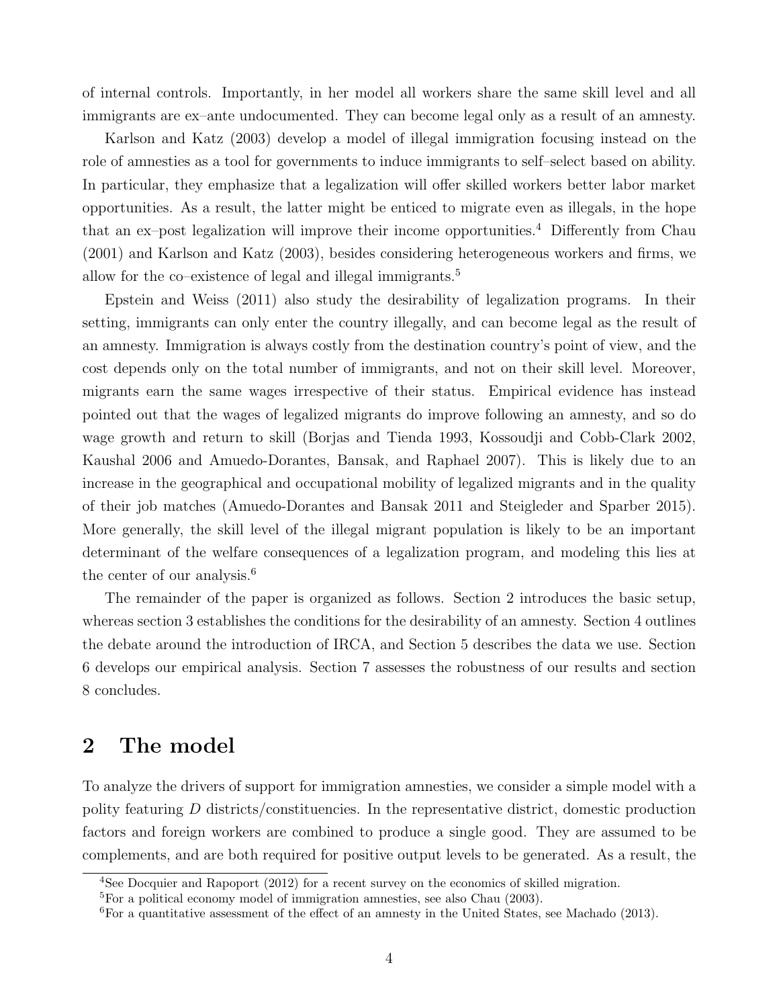of internal controls. Importantly, in her model all workers share the same skill level and all immigrants are ex–ante undocumented. They can become legal only as a result of an amnesty.

Karlson and Katz (2003) develop a model of illegal immigration focusing instead on the role of amnesties as a tool for governments to induce immigrants to self–select based on ability. In particular, they emphasize that a legalization will offer skilled workers better labor market opportunities. As a result, the latter might be enticed to migrate even as illegals, in the hope that an ex–post legalization will improve their income opportunities.<sup>4</sup> Differently from Chau (2001) and Karlson and Katz (2003), besides considering heterogeneous workers and firms, we allow for the co–existence of legal and illegal immigrants.<sup>5</sup>

Epstein and Weiss (2011) also study the desirability of legalization programs. In their setting, immigrants can only enter the country illegally, and can become legal as the result of an amnesty. Immigration is always costly from the destination country's point of view, and the cost depends only on the total number of immigrants, and not on their skill level. Moreover, migrants earn the same wages irrespective of their status. Empirical evidence has instead pointed out that the wages of legalized migrants do improve following an amnesty, and so do wage growth and return to skill (Borjas and Tienda 1993, Kossoudji and Cobb-Clark 2002, Kaushal 2006 and Amuedo-Dorantes, Bansak, and Raphael 2007). This is likely due to an increase in the geographical and occupational mobility of legalized migrants and in the quality of their job matches (Amuedo-Dorantes and Bansak 2011 and Steigleder and Sparber 2015). More generally, the skill level of the illegal migrant population is likely to be an important determinant of the welfare consequences of a legalization program, and modeling this lies at the center of our analysis.<sup>6</sup>

The remainder of the paper is organized as follows. Section 2 introduces the basic setup, whereas section 3 establishes the conditions for the desirability of an amnesty. Section 4 outlines the debate around the introduction of IRCA, and Section 5 describes the data we use. Section 6 develops our empirical analysis. Section 7 assesses the robustness of our results and section 8 concludes.

#### **2 The model**

To analyze the drivers of support for immigration amnesties, we consider a simple model with a polity featuring *D* districts/constituencies. In the representative district, domestic production factors and foreign workers are combined to produce a single good. They are assumed to be complements, and are both required for positive output levels to be generated. As a result, the

<sup>4</sup>See Docquier and Rapoport (2012) for a recent survey on the economics of skilled migration.

<sup>5</sup>For a political economy model of immigration amnesties, see also Chau (2003).

<sup>&</sup>lt;sup>6</sup>For a quantitative assessment of the effect of an amnesty in the United States, see Machado (2013).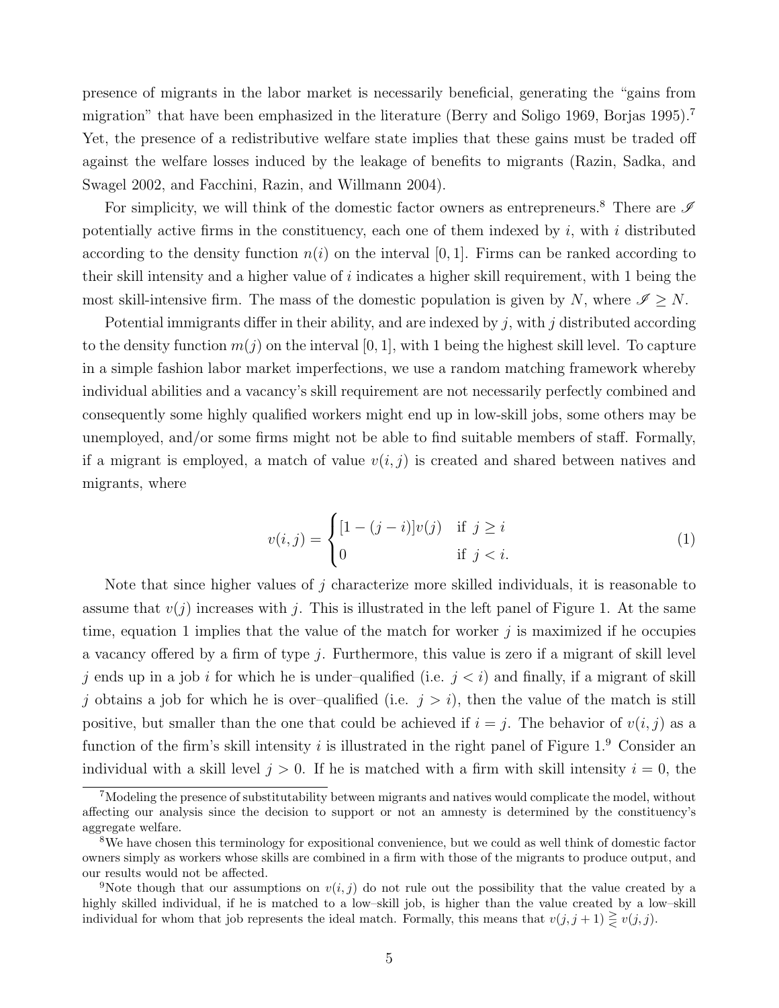presence of migrants in the labor market is necessarily beneficial, generating the "gains from migration" that have been emphasized in the literature (Berry and Soligo 1969, Borjas 1995).<sup>7</sup> Yet, the presence of a redistributive welfare state implies that these gains must be traded off against the welfare losses induced by the leakage of benefits to migrants (Razin, Sadka, and Swagel 2002, and Facchini, Razin, and Willmann 2004).

For simplicity, we will think of the domestic factor owners as entrepreneurs.<sup>8</sup> There are  $\mathscr I$ potentially active firms in the constituency, each one of them indexed by *i*, with *i* distributed according to the density function  $n(i)$  on the interval [0, 1]. Firms can be ranked according to their skill intensity and a higher value of *i* indicates a higher skill requirement, with 1 being the most skill-intensive firm. The mass of the domestic population is given by *N*, where  $\mathscr{I} \geq N$ .

Potential immigrants differ in their ability, and are indexed by *j*, with *j* distributed according to the density function  $m(j)$  on the interval [0, 1], with 1 being the highest skill level. To capture in a simple fashion labor market imperfections, we use a random matching framework whereby individual abilities and a vacancy's skill requirement are not necessarily perfectly combined and consequently some highly qualified workers might end up in low-skill jobs, some others may be unemployed, and/or some firms might not be able to find suitable members of staff. Formally, if a migrant is employed, a match of value  $v(i, j)$  is created and shared between natives and migrants, where

$$
v(i,j) = \begin{cases} [1 - (j - i)]v(j) & \text{if } j \ge i \\ 0 & \text{if } j < i. \end{cases}
$$
 (1)

Note that since higher values of *j* characterize more skilled individuals, it is reasonable to assume that  $v(j)$  increases with j. This is illustrated in the left panel of Figure 1. At the same time, equation 1 implies that the value of the match for worker *j* is maximized if he occupies a vacancy offered by a firm of type *j*. Furthermore, this value is zero if a migrant of skill level *j* ends up in a job *i* for which he is under-qualified (i.e.  $j < i$ ) and finally, if a migrant of skill *j* obtains a job for which he is over–qualified (i.e.  $j > i$ ), then the value of the match is still positive, but smaller than the one that could be achieved if  $i = j$ . The behavior of  $v(i, j)$  as a function of the firm's skill intensity *i* is illustrated in the right panel of Figure 1.<sup>9</sup> Consider an individual with a skill level  $j > 0$ . If he is matched with a firm with skill intensity  $i = 0$ , the

<sup>7</sup>Modeling the presence of substitutability between migrants and natives would complicate the model, without affecting our analysis since the decision to support or not an amnesty is determined by the constituency's aggregate welfare.

<sup>8</sup>We have chosen this terminology for expositional convenience, but we could as well think of domestic factor owners simply as workers whose skills are combined in a firm with those of the migrants to produce output, and our results would not be affected.

<sup>&</sup>lt;sup>9</sup>Note though that our assumptions on  $v(i, j)$  do not rule out the possibility that the value created by a highly skilled individual, if he is matched to a low–skill job, is higher than the value created by a low–skill individual for whom that job represents the ideal match. Formally, this means that  $v(j, j + 1) \geq v(j, j)$ .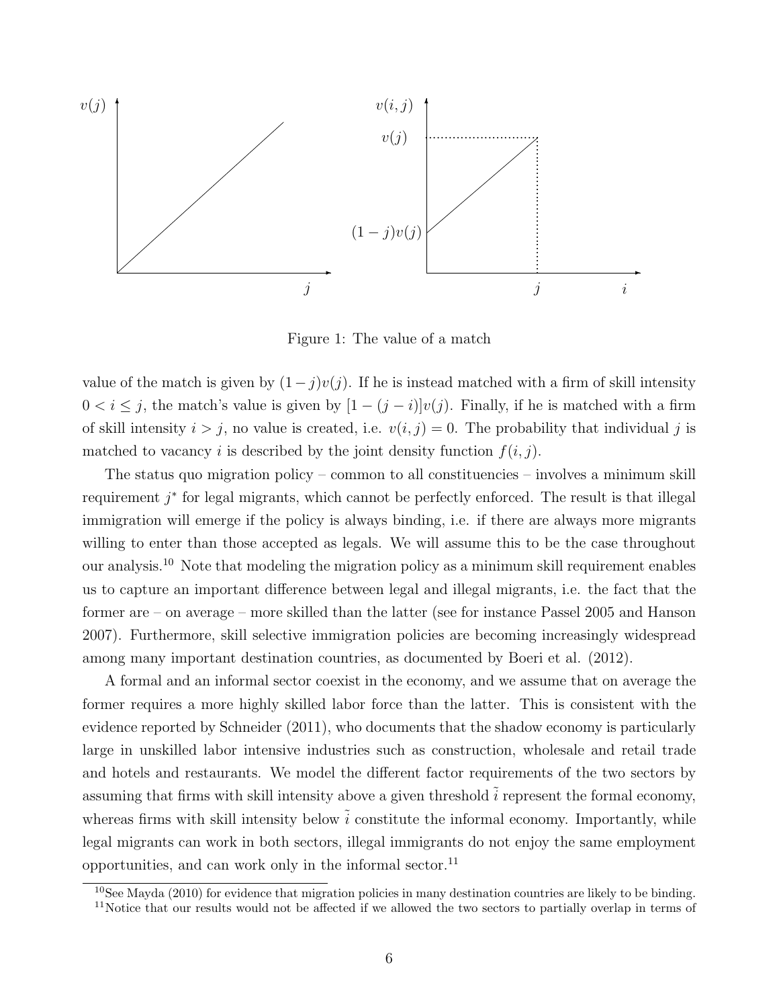

Figure 1: The value of a match

value of the match is given by  $(1 - j)v(j)$ . If he is instead matched with a firm of skill intensity 0 <  $i$  ≤  $j$ , the match's value is given by  $[1 - (j - i)]v(j)$ . Finally, if he is matched with a firm of skill intensity  $i > j$ , no value is created, i.e.  $v(i, j) = 0$ . The probability that individual j is matched to vacancy *i* is described by the joint density function  $f(i, j)$ .

The status quo migration policy – common to all constituencies – involves a minimum skill requirement *j ∗* for legal migrants, which cannot be perfectly enforced. The result is that illegal immigration will emerge if the policy is always binding, i.e. if there are always more migrants willing to enter than those accepted as legals. We will assume this to be the case throughout our analysis.<sup>10</sup> Note that modeling the migration policy as a minimum skill requirement enables us to capture an important difference between legal and illegal migrants, i.e. the fact that the former are – on average – more skilled than the latter (see for instance Passel 2005 and Hanson 2007). Furthermore, skill selective immigration policies are becoming increasingly widespread among many important destination countries, as documented by Boeri et al. (2012).

A formal and an informal sector coexist in the economy, and we assume that on average the former requires a more highly skilled labor force than the latter. This is consistent with the evidence reported by Schneider (2011), who documents that the shadow economy is particularly large in unskilled labor intensive industries such as construction, wholesale and retail trade and hotels and restaurants. We model the different factor requirements of the two sectors by assuming that firms with skill intensity above a given threshold  $\tilde{i}$  represent the formal economy, whereas firms with skill intensity below  $\tilde{i}$  constitute the informal economy. Importantly, while legal migrants can work in both sectors, illegal immigrants do not enjoy the same employment opportunities, and can work only in the informal sector. $11$ 

 $\frac{10}{10}$ See Mayda (2010) for evidence that migration policies in many destination countries are likely to be binding.

<sup>&</sup>lt;sup>11</sup>Notice that our results would not be affected if we allowed the two sectors to partially overlap in terms of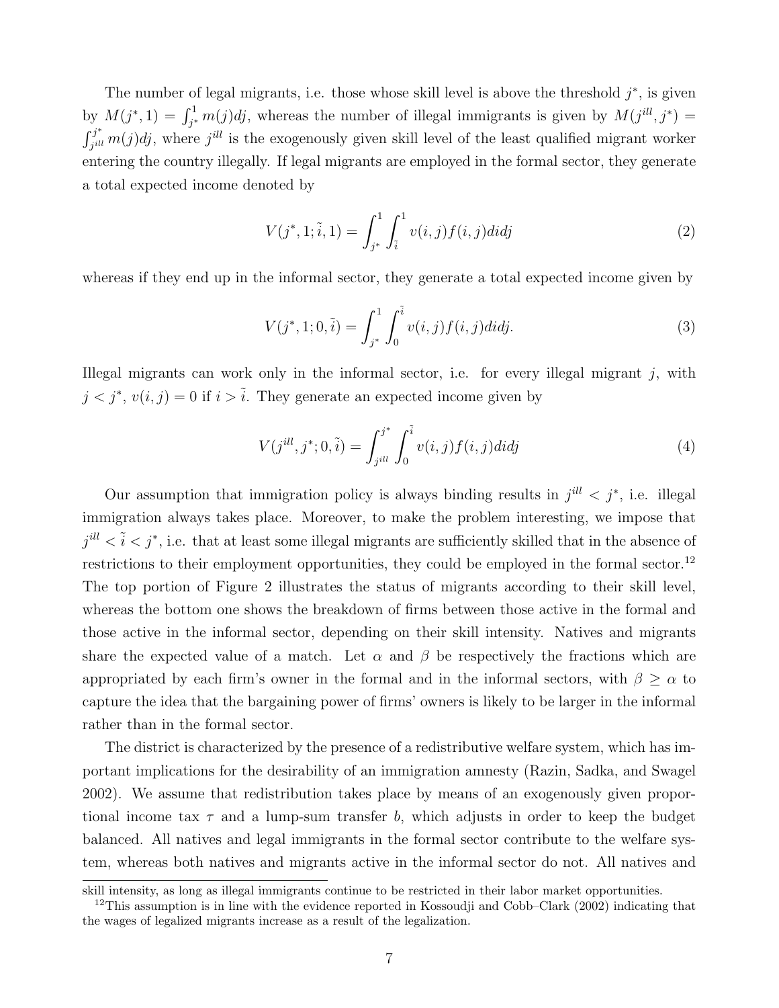The number of legal migrants, i.e. those whose skill level is above the threshold *j ∗* , is given by  $M(j^*, 1) = \int_{j^*}^1 m(j)dj$ , whereas the number of illegal immigrants is given by  $M(j^{ill}, j^*) =$ ∫ *j ∗*  $f_j^{j^*}$  *m*(*j*)*dj*, where *j*<sup>*ill*</sup> is the exogenously given skill level of the least qualified migrant worker entering the country illegally. If legal migrants are employed in the formal sector, they generate a total expected income denoted by

$$
V(j^*, 1; \tilde{i}, 1) = \int_{j^*}^1 \int_{\tilde{i}}^1 v(i, j) f(i, j) di dj
$$
 (2)

whereas if they end up in the informal sector, they generate a total expected income given by

$$
V(j^*, 1; 0, \tilde{i}) = \int_{j^*}^1 \int_0^{\tilde{i}} v(i, j) f(i, j) di d\tilde{j}.
$$
 (3)

Illegal migrants can work only in the informal sector, i.e. for every illegal migrant *j*, with  $j < j^*$ ,  $v(i, j) = 0$  if  $i > \tilde{i}$ . They generate an expected income given by

$$
V(j^{ill}, j^*; 0, \tilde{i}) = \int_{j^{ill}}^{j^*} \int_0^{\tilde{i}} v(i, j) f(i, j) didj \tag{4}
$$

Our assumption that immigration policy is always binding results in  $j^{ill} < j^*$ , i.e. illegal immigration always takes place. Moreover, to make the problem interesting, we impose that  $j^{ill} < \tilde{i} < j^*$ , i.e. that at least some illegal migrants are sufficiently skilled that in the absence of restrictions to their employment opportunities, they could be employed in the formal sector.<sup>12</sup> The top portion of Figure 2 illustrates the status of migrants according to their skill level, whereas the bottom one shows the breakdown of firms between those active in the formal and those active in the informal sector, depending on their skill intensity. Natives and migrants share the expected value of a match. Let  $\alpha$  and  $\beta$  be respectively the fractions which are appropriated by each firm's owner in the formal and in the informal sectors, with  $\beta \geq \alpha$  to capture the idea that the bargaining power of firms' owners is likely to be larger in the informal rather than in the formal sector.

The district is characterized by the presence of a redistributive welfare system, which has important implications for the desirability of an immigration amnesty (Razin, Sadka, and Swagel 2002). We assume that redistribution takes place by means of an exogenously given proportional income tax *τ* and a lump-sum transfer *b*, which adjusts in order to keep the budget balanced. All natives and legal immigrants in the formal sector contribute to the welfare system, whereas both natives and migrants active in the informal sector do not. All natives and

skill intensity, as long as illegal immigrants continue to be restricted in their labor market opportunities.

<sup>&</sup>lt;sup>12</sup>This assumption is in line with the evidence reported in Kossoudii and Cobb–Clark (2002) indicating that the wages of legalized migrants increase as a result of the legalization.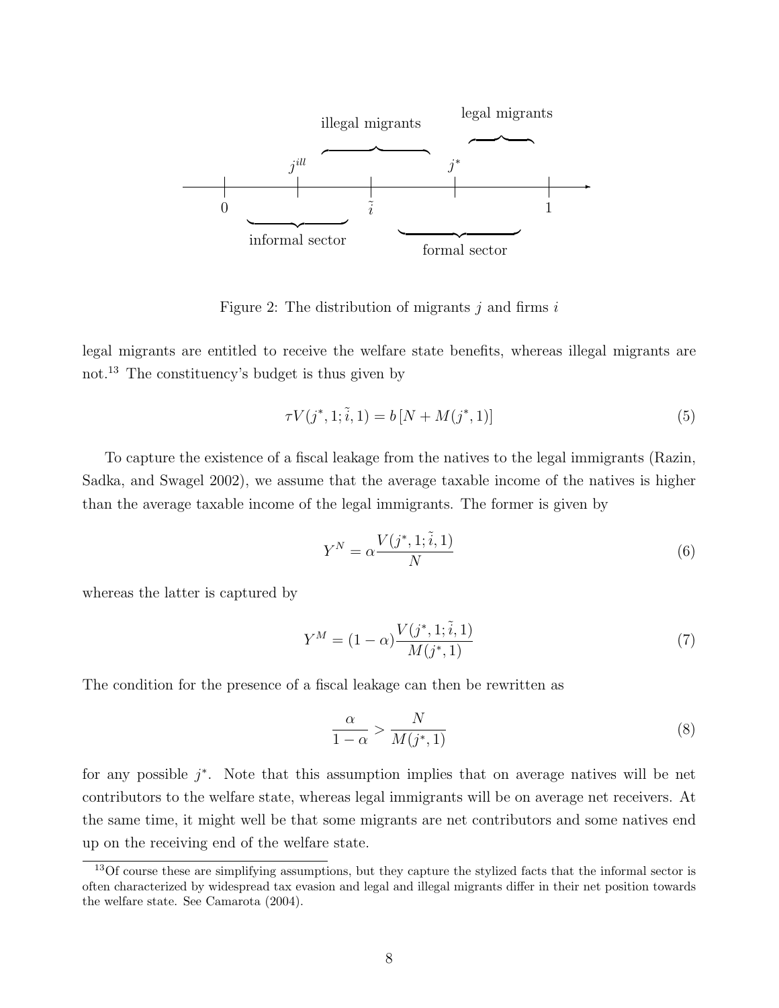

Figure 2: The distribution of migrants *j* and firms *i*

legal migrants are entitled to receive the welfare state benefits, whereas illegal migrants are not.<sup>13</sup> The constituency's budget is thus given by

$$
\tau V(j^*, 1; \tilde{i}, 1) = b \left[ N + M(j^*, 1) \right] \tag{5}
$$

To capture the existence of a fiscal leakage from the natives to the legal immigrants (Razin, Sadka, and Swagel 2002), we assume that the average taxable income of the natives is higher than the average taxable income of the legal immigrants. The former is given by

$$
Y^N = \alpha \frac{V(j^*, 1; \tilde{i}, 1)}{N} \tag{6}
$$

whereas the latter is captured by

$$
Y^{M} = (1 - \alpha) \frac{V(j^*, 1; \tilde{i}, 1)}{M(j^*, 1)}
$$
\n(7)

The condition for the presence of a fiscal leakage can then be rewritten as

$$
\frac{\alpha}{1-\alpha} > \frac{N}{M(j^*,1)}\tag{8}
$$

for any possible  $j^*$ . Note that this assumption implies that on average natives will be net contributors to the welfare state, whereas legal immigrants will be on average net receivers. At the same time, it might well be that some migrants are net contributors and some natives end up on the receiving end of the welfare state.

<sup>&</sup>lt;sup>13</sup>Of course these are simplifying assumptions, but they capture the stylized facts that the informal sector is often characterized by widespread tax evasion and legal and illegal migrants differ in their net position towards the welfare state. See Camarota (2004).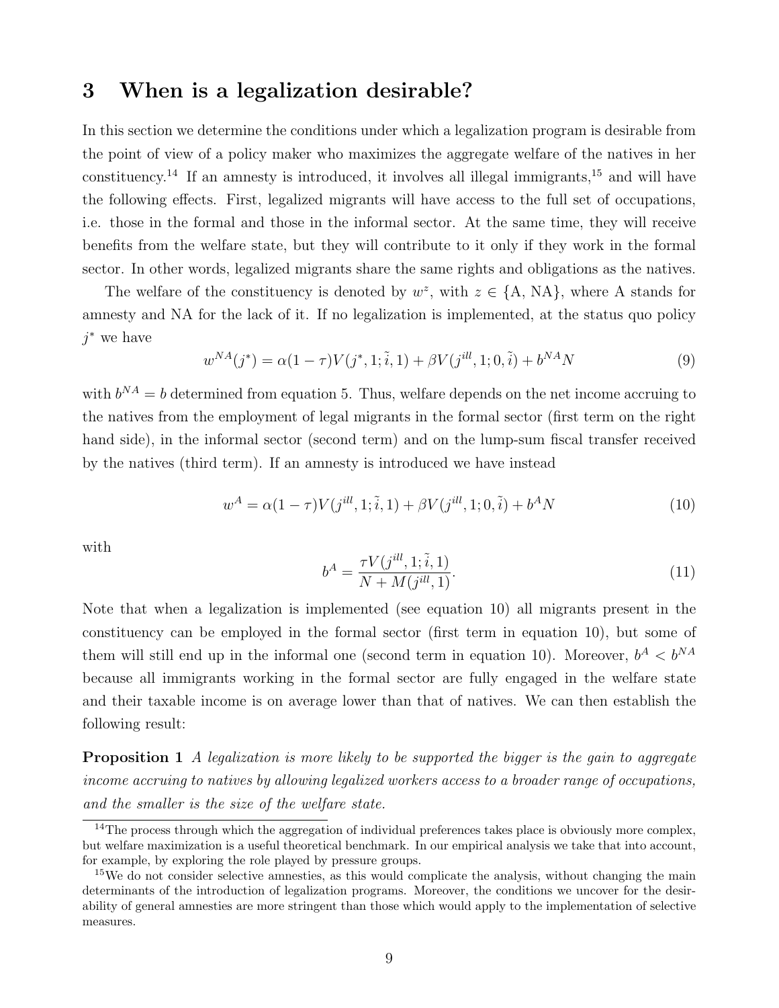#### **3 When is a legalization desirable?**

In this section we determine the conditions under which a legalization program is desirable from the point of view of a policy maker who maximizes the aggregate welfare of the natives in her constituency.<sup>14</sup> If an amnesty is introduced, it involves all illegal immigrants,  $15$  and will have the following effects. First, legalized migrants will have access to the full set of occupations, i.e. those in the formal and those in the informal sector. At the same time, they will receive benefits from the welfare state, but they will contribute to it only if they work in the formal sector. In other words, legalized migrants share the same rights and obligations as the natives.

The welfare of the constituency is denoted by  $w^z$ , with  $z \in \{A, NA\}$ , where A stands for amnesty and NA for the lack of it. If no legalization is implemented, at the status quo policy *j <sup>∗</sup>* we have

$$
w^{NA}(j^*) = \alpha(1-\tau)V(j^*, 1; \tilde{i}, 1) + \beta V(j^{ill}, 1; 0, \tilde{i}) + b^{NA}N
$$
\n(9)

with  $b^{NA} = b$  determined from equation 5. Thus, welfare depends on the net income accruing to the natives from the employment of legal migrants in the formal sector (first term on the right hand side), in the informal sector (second term) and on the lump-sum fiscal transfer received by the natives (third term). If an amnesty is introduced we have instead

$$
w^{A} = \alpha (1 - \tau) V(j^{ill}, 1; \tilde{i}, 1) + \beta V(j^{ill}, 1; 0, \tilde{i}) + b^{A} N \tag{10}
$$

with

$$
b^{A} = \frac{\tau V(j^{ill}, 1; \tilde{i}, 1)}{N + M(j^{ill}, 1)}.
$$
\n(11)

Note that when a legalization is implemented (see equation 10) all migrants present in the constituency can be employed in the formal sector (first term in equation 10), but some of them will still end up in the informal one (second term in equation 10). Moreover,  $b^A < b^{NA}$ because all immigrants working in the formal sector are fully engaged in the welfare state and their taxable income is on average lower than that of natives. We can then establish the following result:

**Proposition 1** *A legalization is more likely to be supported the bigger is the gain to aggregate income accruing to natives by allowing legalized workers access to a broader range of occupations, and the smaller is the size of the welfare state.*

 $14$ The process through which the aggregation of individual preferences takes place is obviously more complex, but welfare maximization is a useful theoretical benchmark. In our empirical analysis we take that into account, for example, by exploring the role played by pressure groups.

<sup>&</sup>lt;sup>15</sup>We do not consider selective amnesties, as this would complicate the analysis, without changing the main determinants of the introduction of legalization programs. Moreover, the conditions we uncover for the desirability of general amnesties are more stringent than those which would apply to the implementation of selective measures.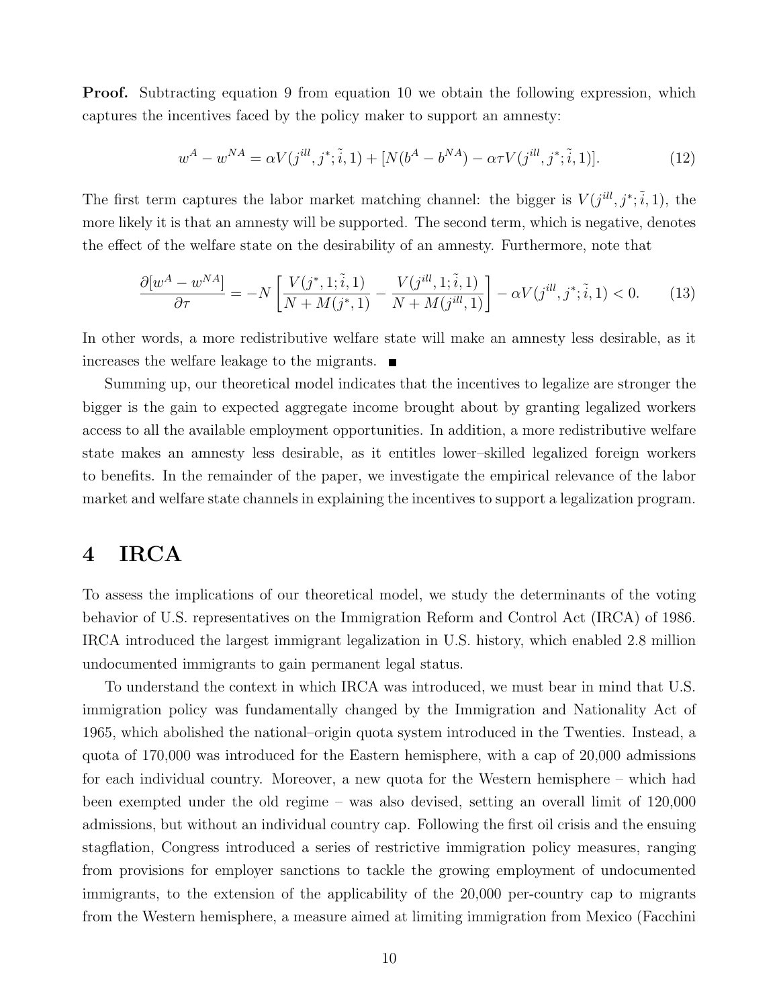**Proof.** Subtracting equation 9 from equation 10 we obtain the following expression, which captures the incentives faced by the policy maker to support an amnesty:

$$
w^{A} - w^{NA} = \alpha V(j^{ill}, j^{*}; \tilde{i}, 1) + [N(b^{A} - b^{NA}) - \alpha \tau V(j^{ill}, j^{*}; \tilde{i}, 1)].
$$
\n(12)

The first term captures the labor market matching channel: the bigger is  $V(j^{ill}, j^*, \tilde{i}, 1)$ , the more likely it is that an amnesty will be supported. The second term, which is negative, denotes the effect of the welfare state on the desirability of an amnesty. Furthermore, note that

$$
\frac{\partial [w^A - w^{NA}]}{\partial \tau} = -N \left[ \frac{V(j^*, 1; \tilde{i}, 1)}{N + M(j^*, 1)} - \frac{V(j^{ill}, 1; \tilde{i}, 1)}{N + M(j^{ill}, 1)} \right] - \alpha V(j^{ill}, j^*; \tilde{i}, 1) < 0. \tag{13}
$$

In other words, a more redistributive welfare state will make an amnesty less desirable, as it increases the welfare leakage to the migrants.

Summing up, our theoretical model indicates that the incentives to legalize are stronger the bigger is the gain to expected aggregate income brought about by granting legalized workers access to all the available employment opportunities. In addition, a more redistributive welfare state makes an amnesty less desirable, as it entitles lower–skilled legalized foreign workers to benefits. In the remainder of the paper, we investigate the empirical relevance of the labor market and welfare state channels in explaining the incentives to support a legalization program.

#### **4 IRCA**

To assess the implications of our theoretical model, we study the determinants of the voting behavior of U.S. representatives on the Immigration Reform and Control Act (IRCA) of 1986. IRCA introduced the largest immigrant legalization in U.S. history, which enabled 2.8 million undocumented immigrants to gain permanent legal status.

To understand the context in which IRCA was introduced, we must bear in mind that U.S. immigration policy was fundamentally changed by the Immigration and Nationality Act of 1965, which abolished the national–origin quota system introduced in the Twenties. Instead, a quota of 170,000 was introduced for the Eastern hemisphere, with a cap of 20,000 admissions for each individual country. Moreover, a new quota for the Western hemisphere – which had been exempted under the old regime – was also devised, setting an overall limit of 120,000 admissions, but without an individual country cap. Following the first oil crisis and the ensuing stagflation, Congress introduced a series of restrictive immigration policy measures, ranging from provisions for employer sanctions to tackle the growing employment of undocumented immigrants, to the extension of the applicability of the 20,000 per-country cap to migrants from the Western hemisphere, a measure aimed at limiting immigration from Mexico (Facchini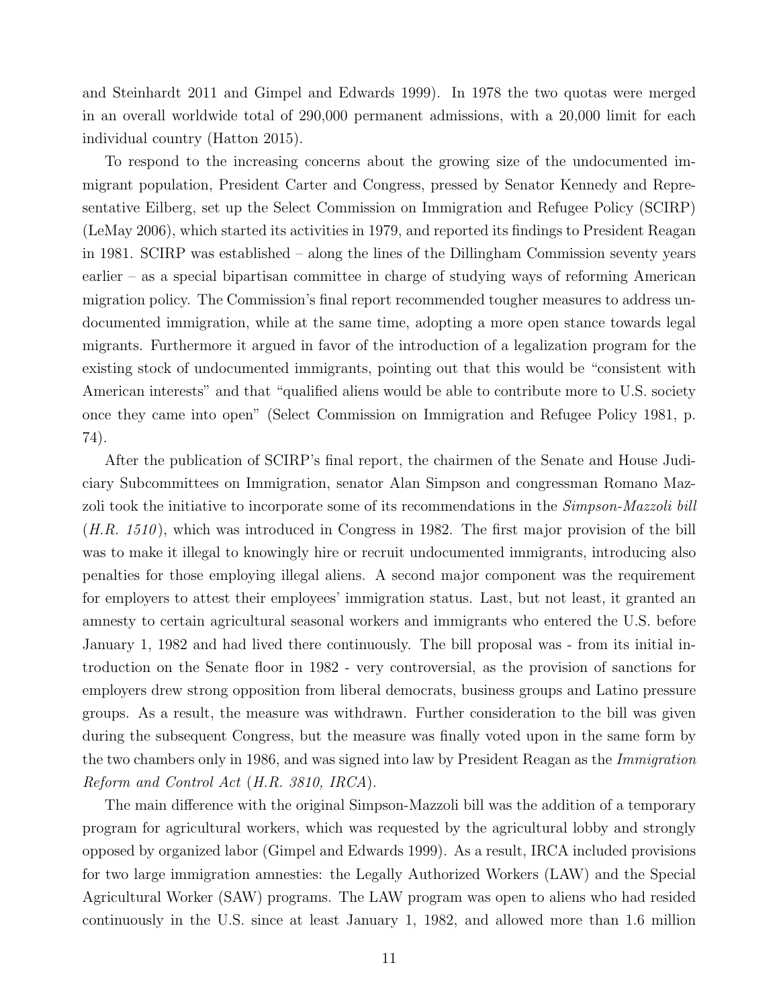and Steinhardt 2011 and Gimpel and Edwards 1999). In 1978 the two quotas were merged in an overall worldwide total of 290,000 permanent admissions, with a 20,000 limit for each individual country (Hatton 2015).

To respond to the increasing concerns about the growing size of the undocumented immigrant population, President Carter and Congress, pressed by Senator Kennedy and Representative Eilberg, set up the Select Commission on Immigration and Refugee Policy (SCIRP) (LeMay 2006), which started its activities in 1979, and reported its findings to President Reagan in 1981. SCIRP was established – along the lines of the Dillingham Commission seventy years earlier – as a special bipartisan committee in charge of studying ways of reforming American migration policy. The Commission's final report recommended tougher measures to address undocumented immigration, while at the same time, adopting a more open stance towards legal migrants. Furthermore it argued in favor of the introduction of a legalization program for the existing stock of undocumented immigrants, pointing out that this would be "consistent with American interests" and that "qualified aliens would be able to contribute more to U.S. society once they came into open" (Select Commission on Immigration and Refugee Policy 1981, p. 74).

After the publication of SCIRP's final report, the chairmen of the Senate and House Judiciary Subcommittees on Immigration, senator Alan Simpson and congressman Romano Mazzoli took the initiative to incorporate some of its recommendations in the *Simpson-Mazzoli bill* (*H.R. 1510* ), which was introduced in Congress in 1982. The first major provision of the bill was to make it illegal to knowingly hire or recruit undocumented immigrants, introducing also penalties for those employing illegal aliens. A second major component was the requirement for employers to attest their employees' immigration status. Last, but not least, it granted an amnesty to certain agricultural seasonal workers and immigrants who entered the U.S. before January 1, 1982 and had lived there continuously. The bill proposal was - from its initial introduction on the Senate floor in 1982 - very controversial, as the provision of sanctions for employers drew strong opposition from liberal democrats, business groups and Latino pressure groups. As a result, the measure was withdrawn. Further consideration to the bill was given during the subsequent Congress, but the measure was finally voted upon in the same form by the two chambers only in 1986, and was signed into law by President Reagan as the *Immigration Reform and Control Act* (*H.R. 3810, IRCA*).

The main difference with the original Simpson-Mazzoli bill was the addition of a temporary program for agricultural workers, which was requested by the agricultural lobby and strongly opposed by organized labor (Gimpel and Edwards 1999). As a result, IRCA included provisions for two large immigration amnesties: the Legally Authorized Workers (LAW) and the Special Agricultural Worker (SAW) programs. The LAW program was open to aliens who had resided continuously in the U.S. since at least January 1, 1982, and allowed more than 1.6 million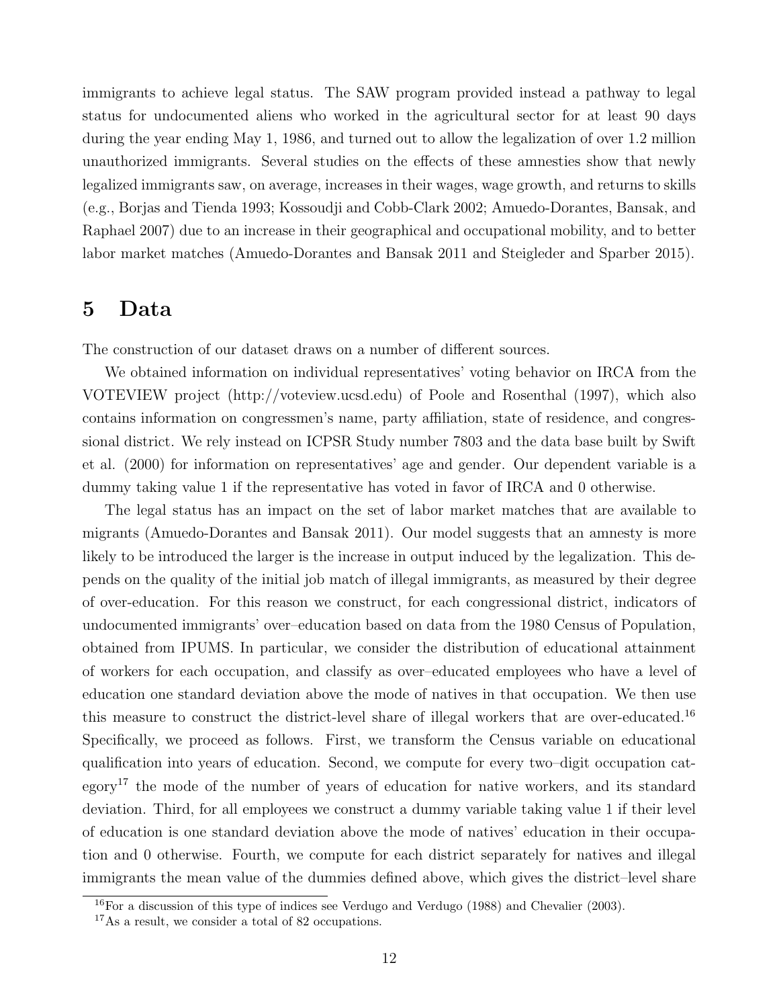immigrants to achieve legal status. The SAW program provided instead a pathway to legal status for undocumented aliens who worked in the agricultural sector for at least 90 days during the year ending May 1, 1986, and turned out to allow the legalization of over 1.2 million unauthorized immigrants. Several studies on the effects of these amnesties show that newly legalized immigrants saw, on average, increases in their wages, wage growth, and returns to skills (e.g., Borjas and Tienda 1993; Kossoudji and Cobb-Clark 2002; Amuedo-Dorantes, Bansak, and Raphael 2007) due to an increase in their geographical and occupational mobility, and to better labor market matches (Amuedo-Dorantes and Bansak 2011 and Steigleder and Sparber 2015).

#### **5 Data**

The construction of our dataset draws on a number of different sources.

We obtained information on individual representatives' voting behavior on IRCA from the VOTEVIEW project (http://voteview.ucsd.edu) of Poole and Rosenthal (1997), which also contains information on congressmen's name, party affiliation, state of residence, and congressional district. We rely instead on ICPSR Study number 7803 and the data base built by Swift et al. (2000) for information on representatives' age and gender. Our dependent variable is a dummy taking value 1 if the representative has voted in favor of IRCA and 0 otherwise.

The legal status has an impact on the set of labor market matches that are available to migrants (Amuedo-Dorantes and Bansak 2011). Our model suggests that an amnesty is more likely to be introduced the larger is the increase in output induced by the legalization. This depends on the quality of the initial job match of illegal immigrants, as measured by their degree of over-education. For this reason we construct, for each congressional district, indicators of undocumented immigrants' over–education based on data from the 1980 Census of Population, obtained from IPUMS. In particular, we consider the distribution of educational attainment of workers for each occupation, and classify as over–educated employees who have a level of education one standard deviation above the mode of natives in that occupation. We then use this measure to construct the district-level share of illegal workers that are over-educated.<sup>16</sup> Specifically, we proceed as follows. First, we transform the Census variable on educational qualification into years of education. Second, we compute for every two–digit occupation category<sup>17</sup> the mode of the number of years of education for native workers, and its standard deviation. Third, for all employees we construct a dummy variable taking value 1 if their level of education is one standard deviation above the mode of natives' education in their occupation and 0 otherwise. Fourth, we compute for each district separately for natives and illegal immigrants the mean value of the dummies defined above, which gives the district–level share

<sup>16</sup>For a discussion of this type of indices see Verdugo and Verdugo (1988) and Chevalier (2003).

<sup>17</sup>As a result, we consider a total of 82 occupations.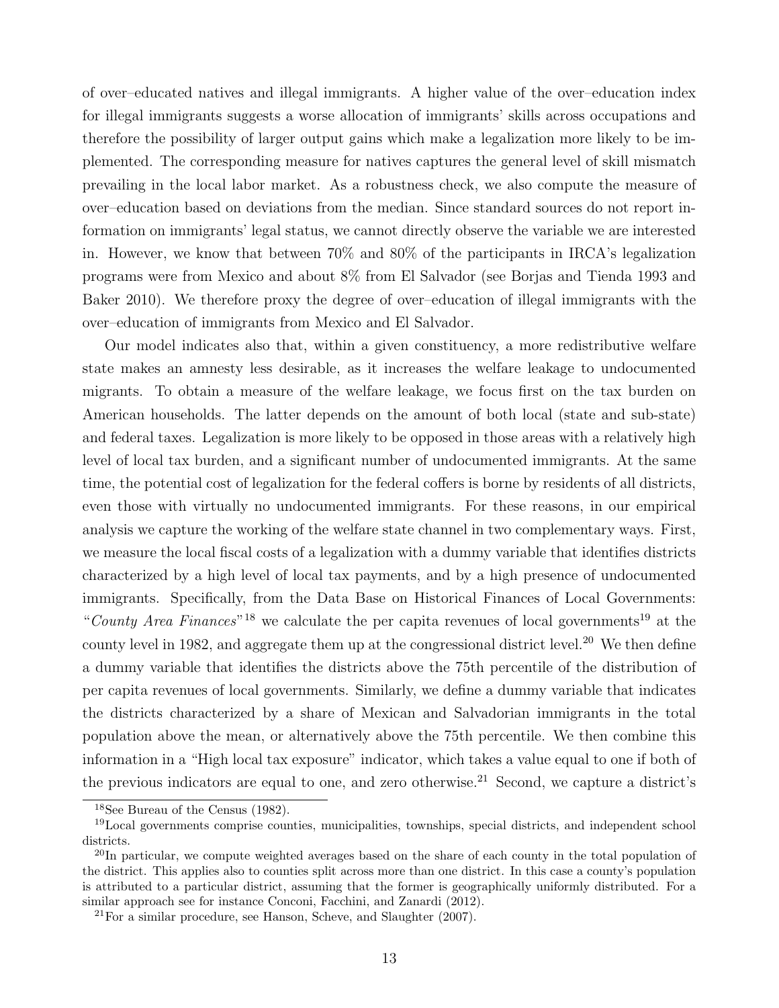of over–educated natives and illegal immigrants. A higher value of the over–education index for illegal immigrants suggests a worse allocation of immigrants' skills across occupations and therefore the possibility of larger output gains which make a legalization more likely to be implemented. The corresponding measure for natives captures the general level of skill mismatch prevailing in the local labor market. As a robustness check, we also compute the measure of over–education based on deviations from the median. Since standard sources do not report information on immigrants' legal status, we cannot directly observe the variable we are interested in. However, we know that between 70% and 80% of the participants in IRCA's legalization programs were from Mexico and about 8% from El Salvador (see Borjas and Tienda 1993 and Baker 2010). We therefore proxy the degree of over–education of illegal immigrants with the over–education of immigrants from Mexico and El Salvador.

Our model indicates also that, within a given constituency, a more redistributive welfare state makes an amnesty less desirable, as it increases the welfare leakage to undocumented migrants. To obtain a measure of the welfare leakage, we focus first on the tax burden on American households. The latter depends on the amount of both local (state and sub-state) and federal taxes. Legalization is more likely to be opposed in those areas with a relatively high level of local tax burden, and a significant number of undocumented immigrants. At the same time, the potential cost of legalization for the federal coffers is borne by residents of all districts, even those with virtually no undocumented immigrants. For these reasons, in our empirical analysis we capture the working of the welfare state channel in two complementary ways. First, we measure the local fiscal costs of a legalization with a dummy variable that identifies districts characterized by a high level of local tax payments, and by a high presence of undocumented immigrants. Specifically, from the Data Base on Historical Finances of Local Governments: "County Area Finances"<sup>18</sup> we calculate the per capita revenues of local governments<sup>19</sup> at the county level in 1982, and aggregate them up at the congressional district level.<sup>20</sup> We then define a dummy variable that identifies the districts above the 75th percentile of the distribution of per capita revenues of local governments. Similarly, we define a dummy variable that indicates the districts characterized by a share of Mexican and Salvadorian immigrants in the total population above the mean, or alternatively above the 75th percentile. We then combine this information in a "High local tax exposure" indicator, which takes a value equal to one if both of the previous indicators are equal to one, and zero otherwise.<sup>21</sup> Second, we capture a district's

<sup>18</sup>See Bureau of the Census (1982).

<sup>19</sup>Local governments comprise counties, municipalities, townships, special districts, and independent school districts.

<sup>&</sup>lt;sup>20</sup>In particular, we compute weighted averages based on the share of each county in the total population of the district. This applies also to counties split across more than one district. In this case a county's population is attributed to a particular district, assuming that the former is geographically uniformly distributed. For a similar approach see for instance Conconi, Facchini, and Zanardi (2012).

 $21$ For a similar procedure, see Hanson, Scheve, and Slaughter (2007).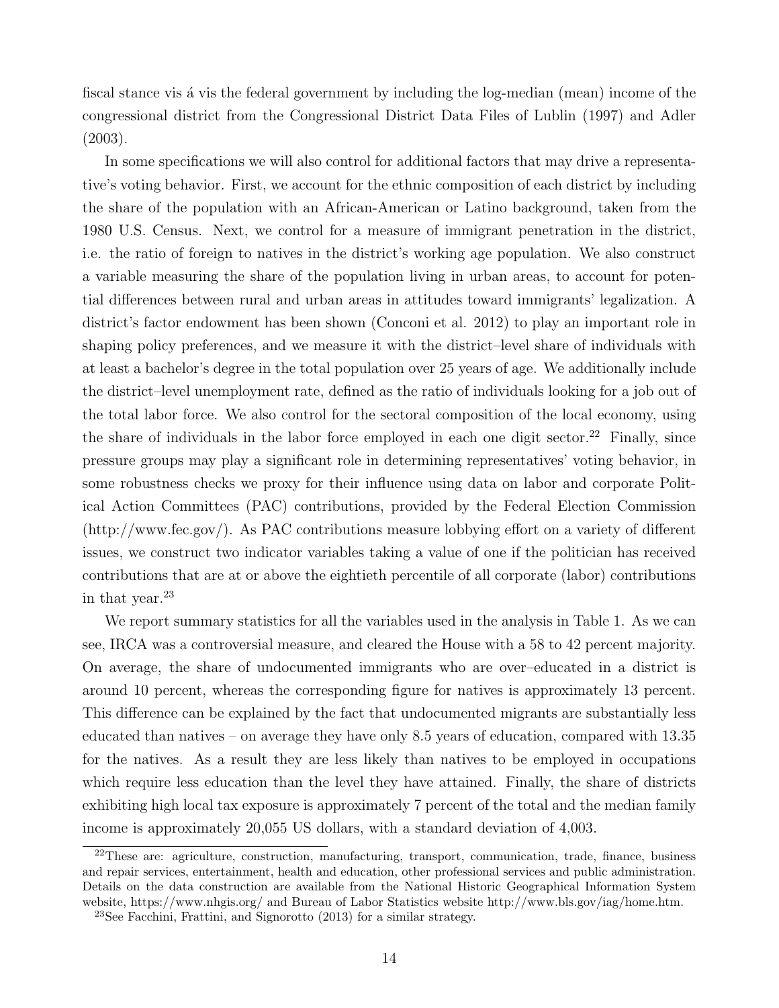fiscal stance vis a vis the federal government by including the log-median (mean) income of the congressional district from the Congressional District Data Files of Lublin (1997) and Adler (2003).

In some specifications we will also control for additional factors that may drive a representative's voting behavior. First, we account for the ethnic composition of each district by including the share of the population with an African-American or Latino background, taken from the 1980 U.S. Census. Next, we control for a measure of immigrant penetration in the district, i.e. the ratio of foreign to natives in the district's working age population. We also construct a variable measuring the share of the population living in urban areas, to account for potential differences between rural and urban areas in attitudes toward immigrants' legalization. A district's factor endowment has been shown (Conconi et al. 2012) to play an important role in shaping policy preferences, and we measure it with the district–level share of individuals with at least a bachelor's degree in the total population over 25 years of age. We additionally include the district–level unemployment rate, defined as the ratio of individuals looking for a job out of the total labor force. We also control for the sectoral composition of the local economy, using the share of individuals in the labor force employed in each one digit sector.<sup>22</sup> Finally, since pressure groups may play a significant role in determining representatives' voting behavior, in some robustness checks we proxy for their influence using data on labor and corporate Political Action Committees (PAC) contributions, provided by the Federal Election Commission (http://www.fec.gov/). As PAC contributions measure lobbying effort on a variety of different issues, we construct two indicator variables taking a value of one if the politician has received contributions that are at or above the eightieth percentile of all corporate (labor) contributions in that year. $^{23}$ 

We report summary statistics for all the variables used in the analysis in Table 1. As we can see, IRCA was a controversial measure, and cleared the House with a 58 to 42 percent majority. On average, the share of undocumented immigrants who are over–educated in a district is around 10 percent, whereas the corresponding figure for natives is approximately 13 percent. This difference can be explained by the fact that undocumented migrants are substantially less educated than natives – on average they have only 8.5 years of education, compared with 13.35 for the natives. As a result they are less likely than natives to be employed in occupations which require less education than the level they have attained. Finally, the share of districts exhibiting high local tax exposure is approximately 7 percent of the total and the median family income is approximately 20,055 US dollars, with a standard deviation of 4,003.

<sup>&</sup>lt;sup>22</sup>These are: agriculture, construction, manufacturing, transport, communication, trade, finance, business and repair services, entertainment, health and education, other professional services and public administration. Details on the data construction are available from the National Historic Geographical Information System website, https://www.nhgis.org/ and Bureau of Labor Statistics website http://www.bls.gov/iag/home.htm.

<sup>23</sup>See Facchini, Frattini, and Signorotto (2013) for a similar strategy.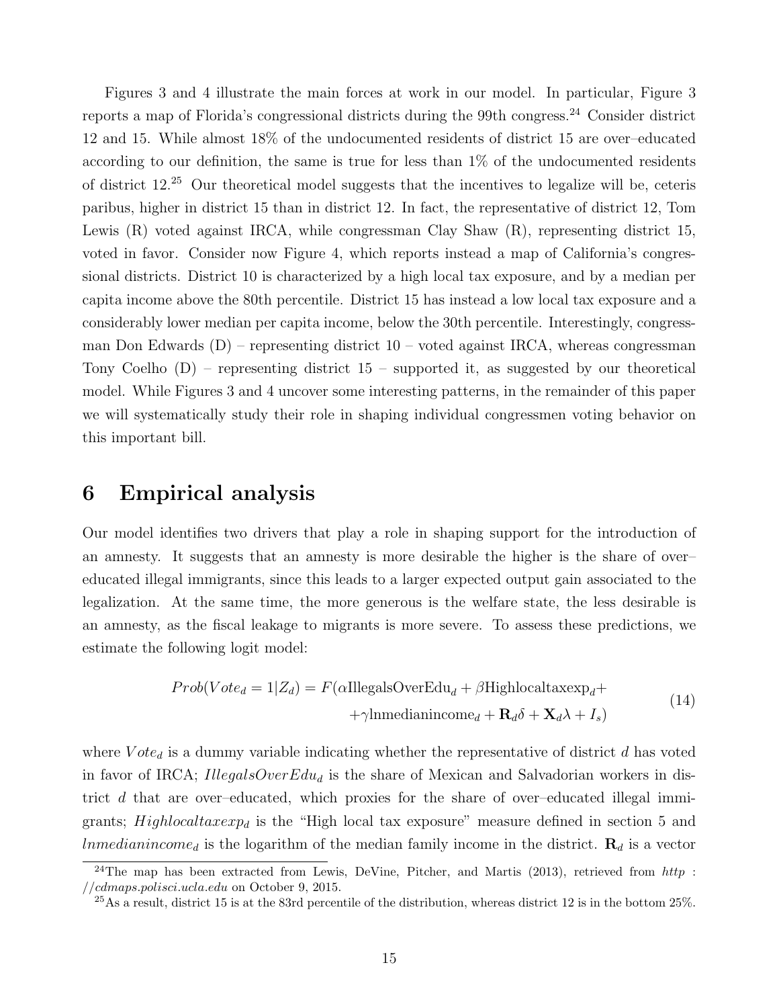Figures 3 and 4 illustrate the main forces at work in our model. In particular, Figure 3 reports a map of Florida's congressional districts during the 99th congress.<sup>24</sup> Consider district 12 and 15. While almost 18% of the undocumented residents of district 15 are over–educated according to our definition, the same is true for less than 1% of the undocumented residents of district 12.<sup>25</sup> Our theoretical model suggests that the incentives to legalize will be, ceteris paribus, higher in district 15 than in district 12. In fact, the representative of district 12, Tom Lewis (R) voted against IRCA, while congressman Clay Shaw (R), representing district 15, voted in favor. Consider now Figure 4, which reports instead a map of California's congressional districts. District 10 is characterized by a high local tax exposure, and by a median per capita income above the 80th percentile. District 15 has instead a low local tax exposure and a considerably lower median per capita income, below the 30th percentile. Interestingly, congressman Don Edwards  $(D)$  – representing district  $10$  – voted against IRCA, whereas congressman Tony Coelho  $(D)$  – representing district  $15$  – supported it, as suggested by our theoretical model. While Figures 3 and 4 uncover some interesting patterns, in the remainder of this paper we will systematically study their role in shaping individual congressmen voting behavior on this important bill.

#### **6 Empirical analysis**

Our model identifies two drivers that play a role in shaping support for the introduction of an amnesty. It suggests that an amnesty is more desirable the higher is the share of over– educated illegal immigrants, since this leads to a larger expected output gain associated to the legalization. At the same time, the more generous is the welfare state, the less desirable is an amnesty, as the fiscal leakage to migrants is more severe. To assess these predictions, we estimate the following logit model:

$$
Prob(Vote_d = 1|Z_d) = F(\alpha IllegalsOverEdu_d + \beta Highlocaltaxexp_d ++ \gamma lnmedianincome_d + \mathbf{R}_d \delta + \mathbf{X}_d \lambda + I_s)
$$
(14)

where  $Vote<sub>d</sub>$  is a dummy variable indicating whether the representative of district *d* has voted in favor of IRCA; *IllegalsOverEdu<sup>d</sup>* is the share of Mexican and Salvadorian workers in district *d* that are over–educated, which proxies for the share of over–educated illegal immigrants; *Highlocaltaxexp<sup>d</sup>* is the "High local tax exposure" measure defined in section 5 and *lnmedianincome<sup>d</sup>* is the logarithm of the median family income in the district. **R***<sup>d</sup>* is a vector

<sup>24</sup>The map has been extracted from Lewis, DeVine, Pitcher, and Martis (2013), retrieved from *http* : *//cdmaps.polisci.ucla.edu* on October 9, 2015.

 $^{25}$ As a result, district 15 is at the 83rd percentile of the distribution, whereas district 12 is in the bottom 25%.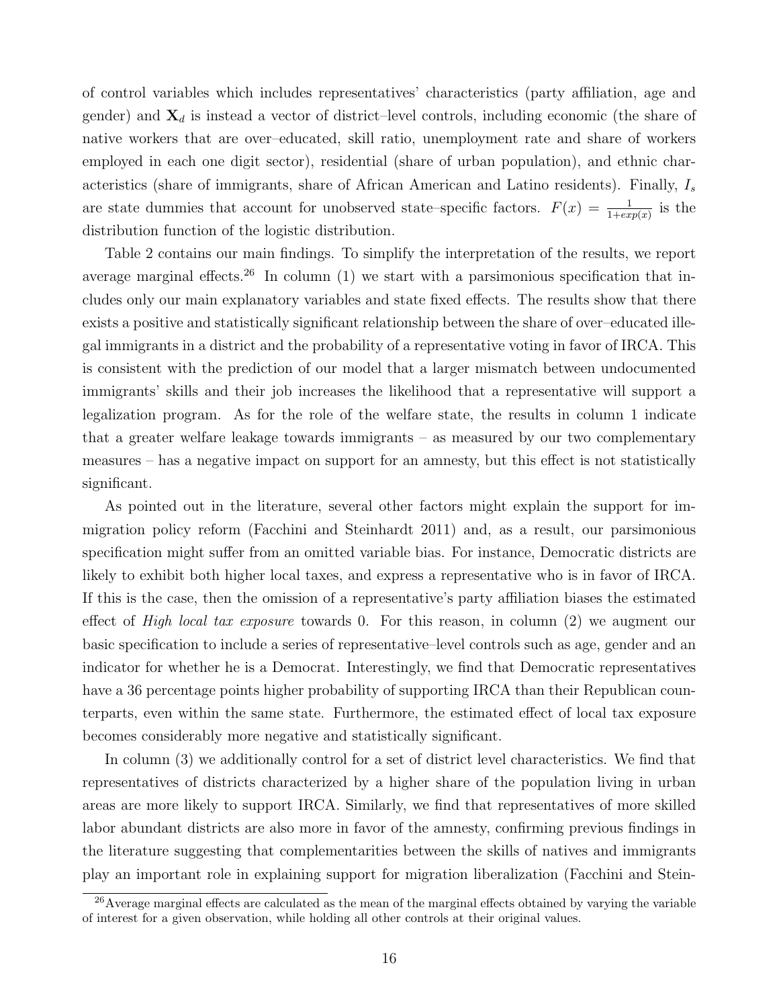of control variables which includes representatives' characteristics (party affiliation, age and gender) and **X***<sup>d</sup>* is instead a vector of district–level controls, including economic (the share of native workers that are over–educated, skill ratio, unemployment rate and share of workers employed in each one digit sector), residential (share of urban population), and ethnic characteristics (share of immigrants, share of African American and Latino residents). Finally, *I<sup>s</sup>* are state dummies that account for unobserved state–specific factors.  $F(x) = \frac{1}{1+exp(x)}$  is the distribution function of the logistic distribution.

Table 2 contains our main findings. To simplify the interpretation of the results, we report average marginal effects.<sup>26</sup> In column  $(1)$  we start with a parsimonious specification that includes only our main explanatory variables and state fixed effects. The results show that there exists a positive and statistically significant relationship between the share of over–educated illegal immigrants in a district and the probability of a representative voting in favor of IRCA. This is consistent with the prediction of our model that a larger mismatch between undocumented immigrants' skills and their job increases the likelihood that a representative will support a legalization program. As for the role of the welfare state, the results in column 1 indicate that a greater welfare leakage towards immigrants – as measured by our two complementary measures – has a negative impact on support for an amnesty, but this effect is not statistically significant.

As pointed out in the literature, several other factors might explain the support for immigration policy reform (Facchini and Steinhardt 2011) and, as a result, our parsimonious specification might suffer from an omitted variable bias. For instance, Democratic districts are likely to exhibit both higher local taxes, and express a representative who is in favor of IRCA. If this is the case, then the omission of a representative's party affiliation biases the estimated effect of *High local tax exposure* towards 0. For this reason, in column (2) we augment our basic specification to include a series of representative–level controls such as age, gender and an indicator for whether he is a Democrat. Interestingly, we find that Democratic representatives have a 36 percentage points higher probability of supporting IRCA than their Republican counterparts, even within the same state. Furthermore, the estimated effect of local tax exposure becomes considerably more negative and statistically significant.

In column (3) we additionally control for a set of district level characteristics. We find that representatives of districts characterized by a higher share of the population living in urban areas are more likely to support IRCA. Similarly, we find that representatives of more skilled labor abundant districts are also more in favor of the amnesty, confirming previous findings in the literature suggesting that complementarities between the skills of natives and immigrants play an important role in explaining support for migration liberalization (Facchini and Stein-

<sup>26</sup>Average marginal effects are calculated as the mean of the marginal effects obtained by varying the variable of interest for a given observation, while holding all other controls at their original values.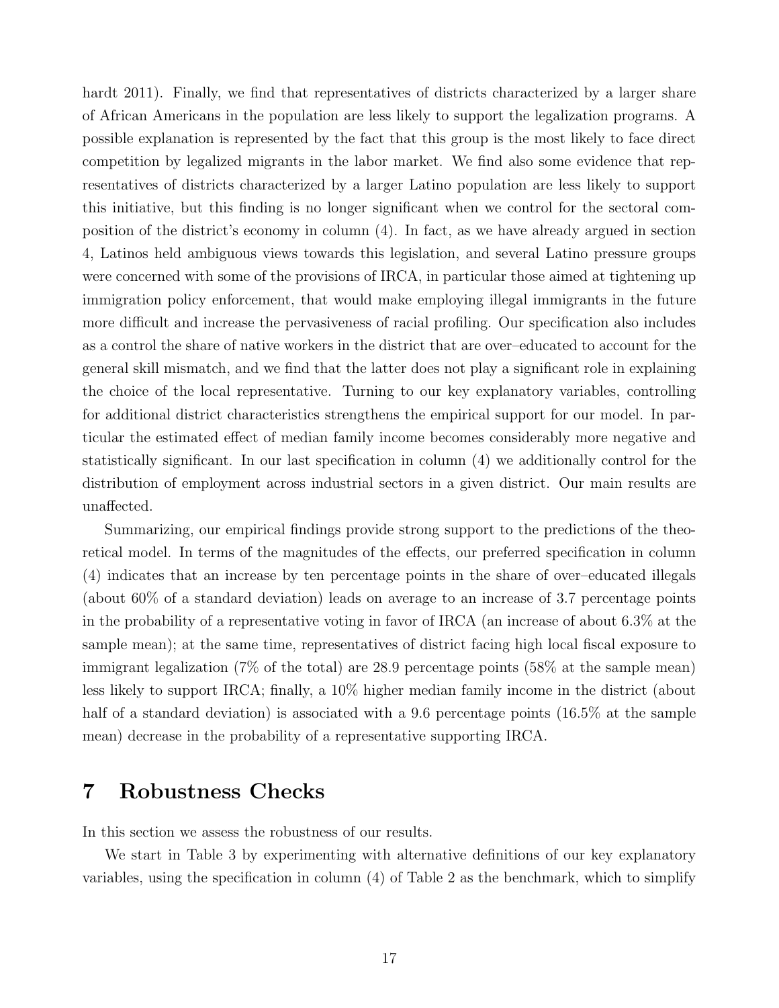hardt 2011). Finally, we find that representatives of districts characterized by a larger share of African Americans in the population are less likely to support the legalization programs. A possible explanation is represented by the fact that this group is the most likely to face direct competition by legalized migrants in the labor market. We find also some evidence that representatives of districts characterized by a larger Latino population are less likely to support this initiative, but this finding is no longer significant when we control for the sectoral composition of the district's economy in column (4). In fact, as we have already argued in section 4, Latinos held ambiguous views towards this legislation, and several Latino pressure groups were concerned with some of the provisions of IRCA, in particular those aimed at tightening up immigration policy enforcement, that would make employing illegal immigrants in the future more difficult and increase the pervasiveness of racial profiling. Our specification also includes as a control the share of native workers in the district that are over–educated to account for the general skill mismatch, and we find that the latter does not play a significant role in explaining the choice of the local representative. Turning to our key explanatory variables, controlling for additional district characteristics strengthens the empirical support for our model. In particular the estimated effect of median family income becomes considerably more negative and statistically significant. In our last specification in column (4) we additionally control for the distribution of employment across industrial sectors in a given district. Our main results are unaffected.

Summarizing, our empirical findings provide strong support to the predictions of the theoretical model. In terms of the magnitudes of the effects, our preferred specification in column (4) indicates that an increase by ten percentage points in the share of over–educated illegals (about 60% of a standard deviation) leads on average to an increase of 3.7 percentage points in the probability of a representative voting in favor of IRCA (an increase of about 6.3% at the sample mean); at the same time, representatives of district facing high local fiscal exposure to immigrant legalization (7% of the total) are 28.9 percentage points (58% at the sample mean) less likely to support IRCA; finally, a 10% higher median family income in the district (about half of a standard deviation) is associated with a 9.6 percentage points (16.5% at the sample mean) decrease in the probability of a representative supporting IRCA.

### **7 Robustness Checks**

In this section we assess the robustness of our results.

We start in Table 3 by experimenting with alternative definitions of our key explanatory variables, using the specification in column (4) of Table 2 as the benchmark, which to simplify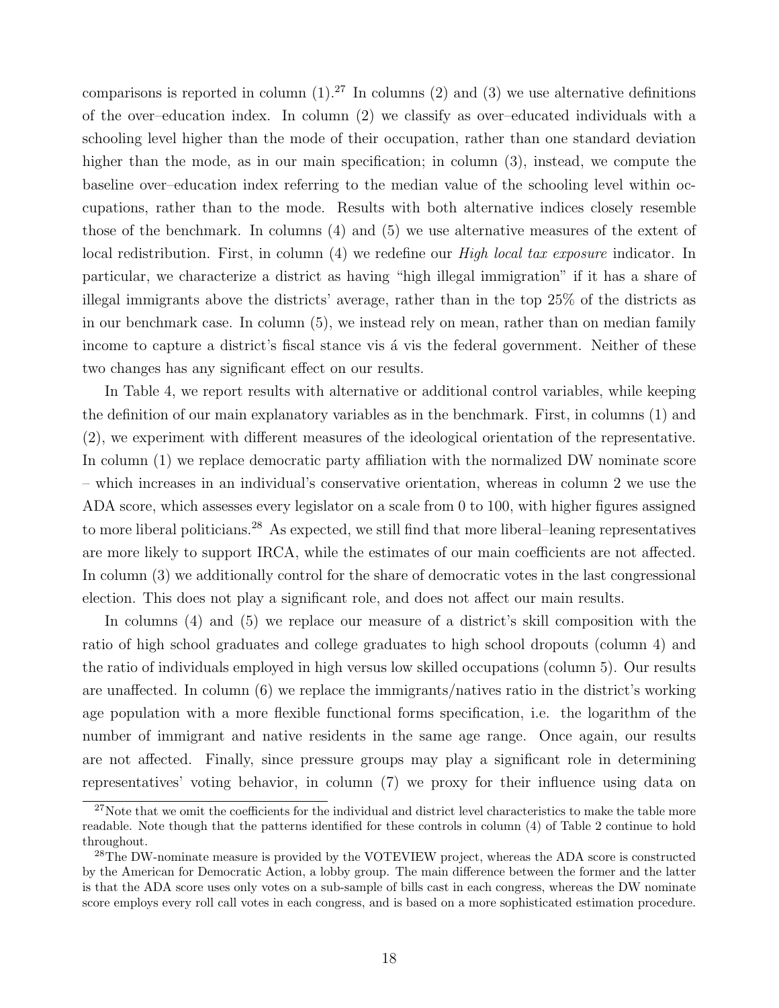comparisons is reported in column  $(1).^{27}$  In columns  $(2)$  and  $(3)$  we use alternative definitions of the over–education index. In column (2) we classify as over–educated individuals with a schooling level higher than the mode of their occupation, rather than one standard deviation higher than the mode, as in our main specification; in column (3), instead, we compute the baseline over–education index referring to the median value of the schooling level within occupations, rather than to the mode. Results with both alternative indices closely resemble those of the benchmark. In columns (4) and (5) we use alternative measures of the extent of local redistribution. First, in column (4) we redefine our *High local tax exposure* indicator. In particular, we characterize a district as having "high illegal immigration" if it has a share of illegal immigrants above the districts' average, rather than in the top 25% of the districts as in our benchmark case. In column (5), we instead rely on mean, rather than on median family income to capture a district's fiscal stance vis a vis the federal government. Neither of these two changes has any significant effect on our results.

In Table 4, we report results with alternative or additional control variables, while keeping the definition of our main explanatory variables as in the benchmark. First, in columns (1) and (2), we experiment with different measures of the ideological orientation of the representative. In column (1) we replace democratic party affiliation with the normalized DW nominate score – which increases in an individual's conservative orientation, whereas in column 2 we use the ADA score, which assesses every legislator on a scale from 0 to 100, with higher figures assigned to more liberal politicians.<sup>28</sup> As expected, we still find that more liberal–leaning representatives are more likely to support IRCA, while the estimates of our main coefficients are not affected. In column (3) we additionally control for the share of democratic votes in the last congressional election. This does not play a significant role, and does not affect our main results.

In columns (4) and (5) we replace our measure of a district's skill composition with the ratio of high school graduates and college graduates to high school dropouts (column 4) and the ratio of individuals employed in high versus low skilled occupations (column 5). Our results are unaffected. In column (6) we replace the immigrants/natives ratio in the district's working age population with a more flexible functional forms specification, i.e. the logarithm of the number of immigrant and native residents in the same age range. Once again, our results are not affected. Finally, since pressure groups may play a significant role in determining representatives' voting behavior, in column (7) we proxy for their influence using data on

 $27$ Note that we omit the coefficients for the individual and district level characteristics to make the table more readable. Note though that the patterns identified for these controls in column (4) of Table 2 continue to hold throughout.

<sup>&</sup>lt;sup>28</sup>The DW-nominate measure is provided by the VOTEVIEW project, whereas the ADA score is constructed by the American for Democratic Action, a lobby group. The main difference between the former and the latter is that the ADA score uses only votes on a sub-sample of bills cast in each congress, whereas the DW nominate score employs every roll call votes in each congress, and is based on a more sophisticated estimation procedure.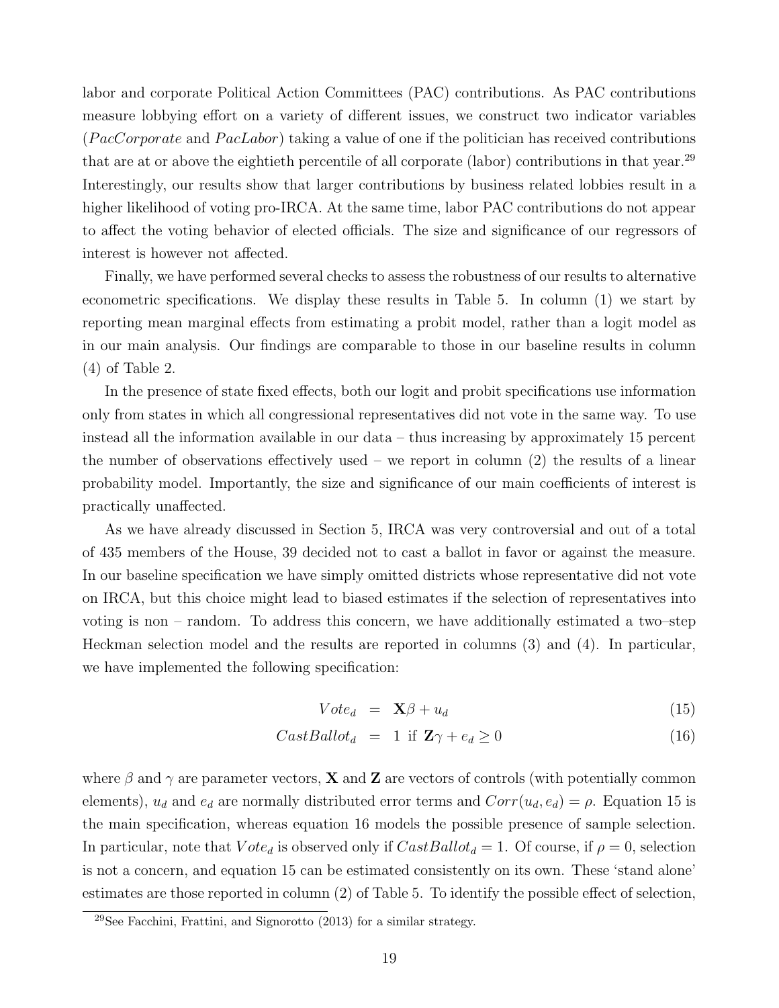labor and corporate Political Action Committees (PAC) contributions. As PAC contributions measure lobbying effort on a variety of different issues, we construct two indicator variables (*P acCorporate* and *P acLabor*) taking a value of one if the politician has received contributions that are at or above the eightieth percentile of all corporate (labor) contributions in that year.<sup>29</sup> Interestingly, our results show that larger contributions by business related lobbies result in a higher likelihood of voting pro-IRCA. At the same time, labor PAC contributions do not appear to affect the voting behavior of elected officials. The size and significance of our regressors of interest is however not affected.

Finally, we have performed several checks to assess the robustness of our results to alternative econometric specifications. We display these results in Table 5. In column (1) we start by reporting mean marginal effects from estimating a probit model, rather than a logit model as in our main analysis. Our findings are comparable to those in our baseline results in column (4) of Table 2.

In the presence of state fixed effects, both our logit and probit specifications use information only from states in which all congressional representatives did not vote in the same way. To use instead all the information available in our data – thus increasing by approximately 15 percent the number of observations effectively used – we report in column  $(2)$  the results of a linear probability model. Importantly, the size and significance of our main coefficients of interest is practically unaffected.

As we have already discussed in Section 5, IRCA was very controversial and out of a total of 435 members of the House, 39 decided not to cast a ballot in favor or against the measure. In our baseline specification we have simply omitted districts whose representative did not vote on IRCA, but this choice might lead to biased estimates if the selection of representatives into voting is non – random. To address this concern, we have additionally estimated a two–step Heckman selection model and the results are reported in columns (3) and (4). In particular, we have implemented the following specification:

$$
Vote_d = \mathbf{X}\beta + u_d \tag{15}
$$

$$
CastBallotd = 1 if Z $\gamma$  +  $e_d \ge 0$  (16)
$$

where  $\beta$  and  $\gamma$  are parameter vectors, **X** and **Z** are vectors of controls (with potentially common elements),  $u_d$  and  $e_d$  are normally distributed error terms and  $Corr(u_d, e_d) = \rho$ . Equation 15 is the main specification, whereas equation 16 models the possible presence of sample selection. In particular, note that  $Vote_d$  is observed only if  $CastBallot_d = 1$ . Of course, if  $\rho = 0$ , selection is not a concern, and equation 15 can be estimated consistently on its own. These 'stand alone' estimates are those reported in column (2) of Table 5. To identify the possible effect of selection,

 $29$ See Facchini, Frattini, and Signorotto (2013) for a similar strategy.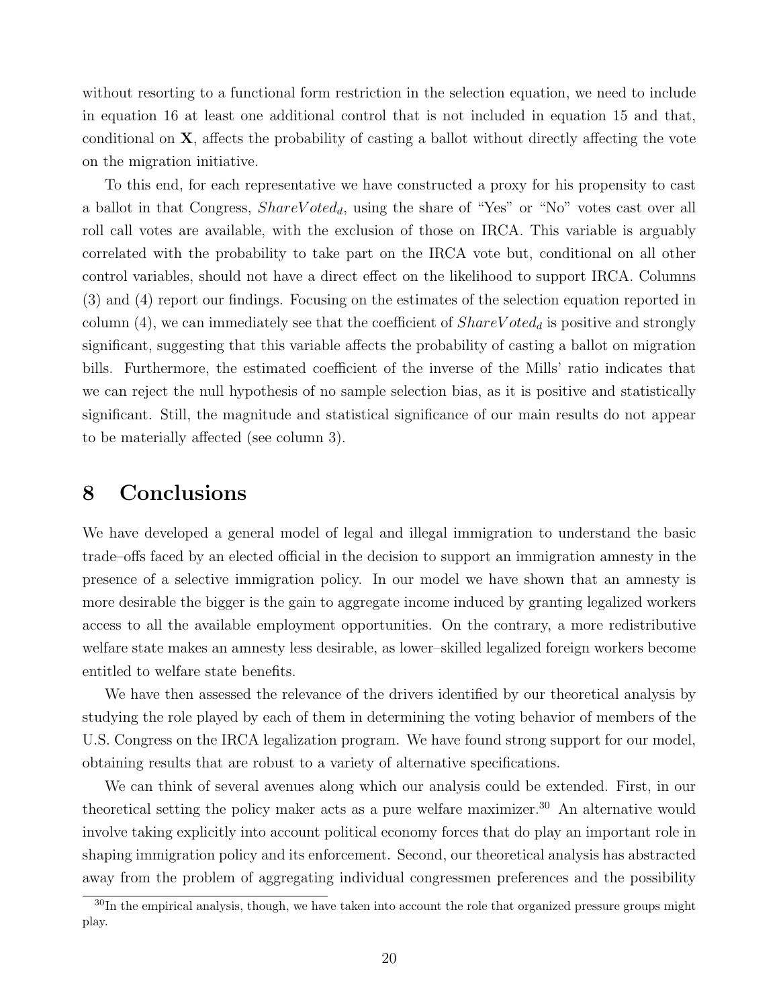without resorting to a functional form restriction in the selection equation, we need to include in equation 16 at least one additional control that is not included in equation 15 and that, conditional on **X**, affects the probability of casting a ballot without directly affecting the vote on the migration initiative.

To this end, for each representative we have constructed a proxy for his propensity to cast a ballot in that Congress, *ShareV otedd*, using the share of "Yes" or "No" votes cast over all roll call votes are available, with the exclusion of those on IRCA. This variable is arguably correlated with the probability to take part on the IRCA vote but, conditional on all other control variables, should not have a direct effect on the likelihood to support IRCA. Columns (3) and (4) report our findings. Focusing on the estimates of the selection equation reported in column  $(4)$ , we can immediately see that the coefficient of  $ShareVoted_d$  is positive and strongly significant, suggesting that this variable affects the probability of casting a ballot on migration bills. Furthermore, the estimated coefficient of the inverse of the Mills' ratio indicates that we can reject the null hypothesis of no sample selection bias, as it is positive and statistically significant. Still, the magnitude and statistical significance of our main results do not appear to be materially affected (see column 3).

#### **8 Conclusions**

We have developed a general model of legal and illegal immigration to understand the basic trade–offs faced by an elected official in the decision to support an immigration amnesty in the presence of a selective immigration policy. In our model we have shown that an amnesty is more desirable the bigger is the gain to aggregate income induced by granting legalized workers access to all the available employment opportunities. On the contrary, a more redistributive welfare state makes an amnesty less desirable, as lower–skilled legalized foreign workers become entitled to welfare state benefits.

We have then assessed the relevance of the drivers identified by our theoretical analysis by studying the role played by each of them in determining the voting behavior of members of the U.S. Congress on the IRCA legalization program. We have found strong support for our model, obtaining results that are robust to a variety of alternative specifications.

We can think of several avenues along which our analysis could be extended. First, in our theoretical setting the policy maker acts as a pure welfare maximizer.<sup>30</sup> An alternative would involve taking explicitly into account political economy forces that do play an important role in shaping immigration policy and its enforcement. Second, our theoretical analysis has abstracted away from the problem of aggregating individual congressmen preferences and the possibility

<sup>&</sup>lt;sup>30</sup>In the empirical analysis, though, we have taken into account the role that organized pressure groups might play.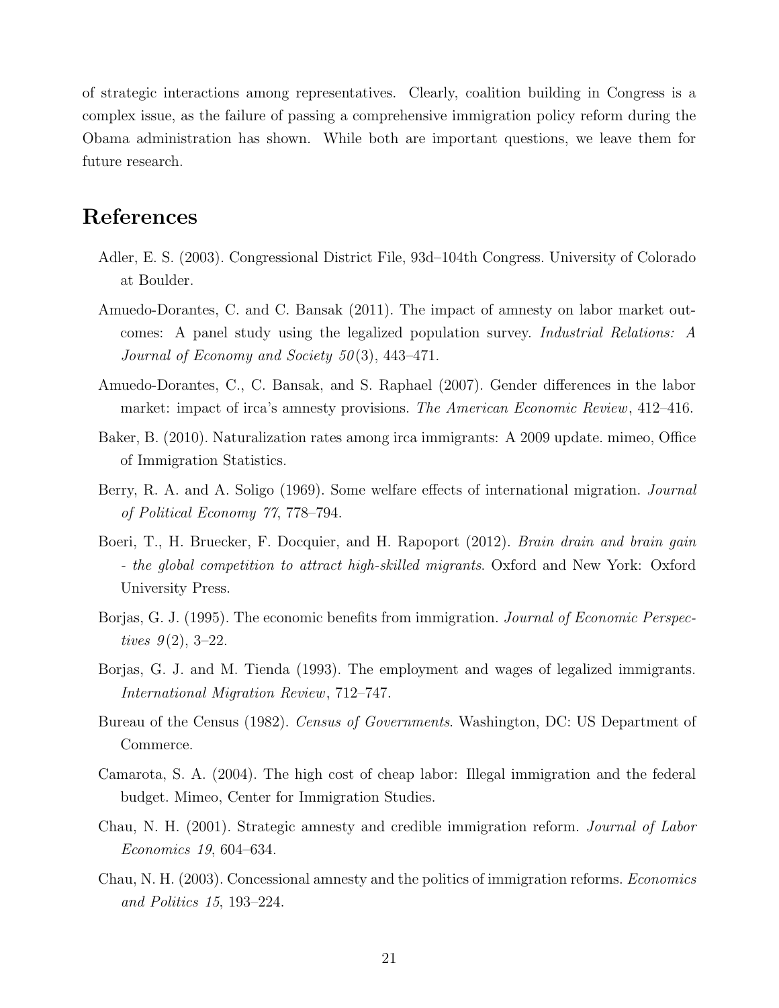of strategic interactions among representatives. Clearly, coalition building in Congress is a complex issue, as the failure of passing a comprehensive immigration policy reform during the Obama administration has shown. While both are important questions, we leave them for future research.

#### **References**

- Adler, E. S. (2003). Congressional District File, 93d–104th Congress. University of Colorado at Boulder.
- Amuedo-Dorantes, C. and C. Bansak (2011). The impact of amnesty on labor market outcomes: A panel study using the legalized population survey. *Industrial Relations: A Journal of Economy and Society 50* (3), 443–471.
- Amuedo-Dorantes, C., C. Bansak, and S. Raphael (2007). Gender differences in the labor market: impact of irca's amnesty provisions. *The American Economic Review*, 412–416.
- Baker, B. (2010). Naturalization rates among irca immigrants: A 2009 update. mimeo, Office of Immigration Statistics.
- Berry, R. A. and A. Soligo (1969). Some welfare effects of international migration. *Journal of Political Economy 77*, 778–794.
- Boeri, T., H. Bruecker, F. Docquier, and H. Rapoport (2012). *Brain drain and brain gain - the global competition to attract high-skilled migrants*. Oxford and New York: Oxford University Press.
- Borjas, G. J. (1995). The economic benefits from immigration. *Journal of Economic Perspectives 9* (2), 3–22.
- Borjas, G. J. and M. Tienda (1993). The employment and wages of legalized immigrants. *International Migration Review*, 712–747.
- Bureau of the Census (1982). *Census of Governments*. Washington, DC: US Department of Commerce.
- Camarota, S. A. (2004). The high cost of cheap labor: Illegal immigration and the federal budget. Mimeo, Center for Immigration Studies.
- Chau, N. H. (2001). Strategic amnesty and credible immigration reform. *Journal of Labor Economics 19*, 604–634.
- Chau, N. H. (2003). Concessional amnesty and the politics of immigration reforms. *Economics and Politics 15*, 193–224.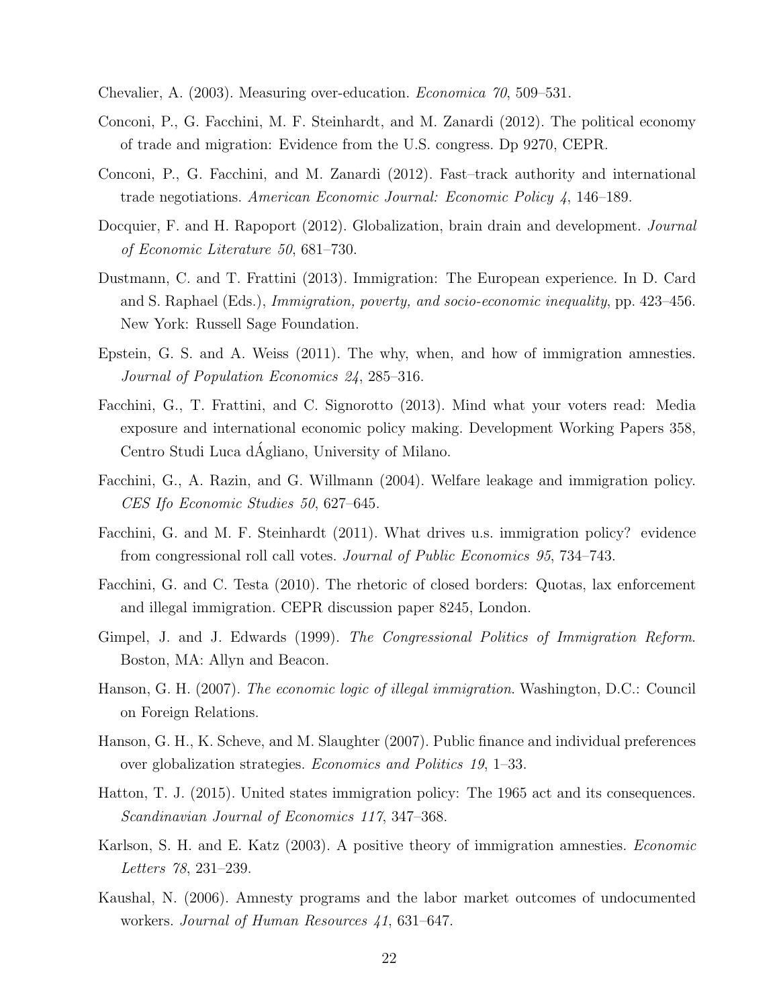Chevalier, A. (2003). Measuring over-education. *Economica 70*, 509–531.

- Conconi, P., G. Facchini, M. F. Steinhardt, and M. Zanardi (2012). The political economy of trade and migration: Evidence from the U.S. congress. Dp 9270, CEPR.
- Conconi, P., G. Facchini, and M. Zanardi (2012). Fast–track authority and international trade negotiations. *American Economic Journal: Economic Policy 4*, 146–189.
- Docquier, F. and H. Rapoport (2012). Globalization, brain drain and development. *Journal of Economic Literature 50*, 681–730.
- Dustmann, C. and T. Frattini (2013). Immigration: The European experience. In D. Card and S. Raphael (Eds.), *Immigration, poverty, and socio-economic inequality*, pp. 423–456. New York: Russell Sage Foundation.
- Epstein, G. S. and A. Weiss (2011). The why, when, and how of immigration amnesties. *Journal of Population Economics 24*, 285–316.
- Facchini, G., T. Frattini, and C. Signorotto (2013). Mind what your voters read: Media exposure and international economic policy making. Development Working Papers 358, Centro Studi Luca dAgliano, University of Milano. ´
- Facchini, G., A. Razin, and G. Willmann (2004). Welfare leakage and immigration policy. *CES Ifo Economic Studies 50*, 627–645.
- Facchini, G. and M. F. Steinhardt (2011). What drives u.s. immigration policy? evidence from congressional roll call votes. *Journal of Public Economics 95*, 734–743.
- Facchini, G. and C. Testa (2010). The rhetoric of closed borders: Quotas, lax enforcement and illegal immigration. CEPR discussion paper 8245, London.
- Gimpel, J. and J. Edwards (1999). *The Congressional Politics of Immigration Reform*. Boston, MA: Allyn and Beacon.
- Hanson, G. H. (2007). *The economic logic of illegal immigration*. Washington, D.C.: Council on Foreign Relations.
- Hanson, G. H., K. Scheve, and M. Slaughter (2007). Public finance and individual preferences over globalization strategies. *Economics and Politics 19*, 1–33.
- Hatton, T. J. (2015). United states immigration policy: The 1965 act and its consequences. *Scandinavian Journal of Economics 117*, 347–368.
- Karlson, S. H. and E. Katz (2003). A positive theory of immigration amnesties. *Economic Letters 78*, 231–239.
- Kaushal, N. (2006). Amnesty programs and the labor market outcomes of undocumented workers. *Journal of Human Resources 41*, 631–647.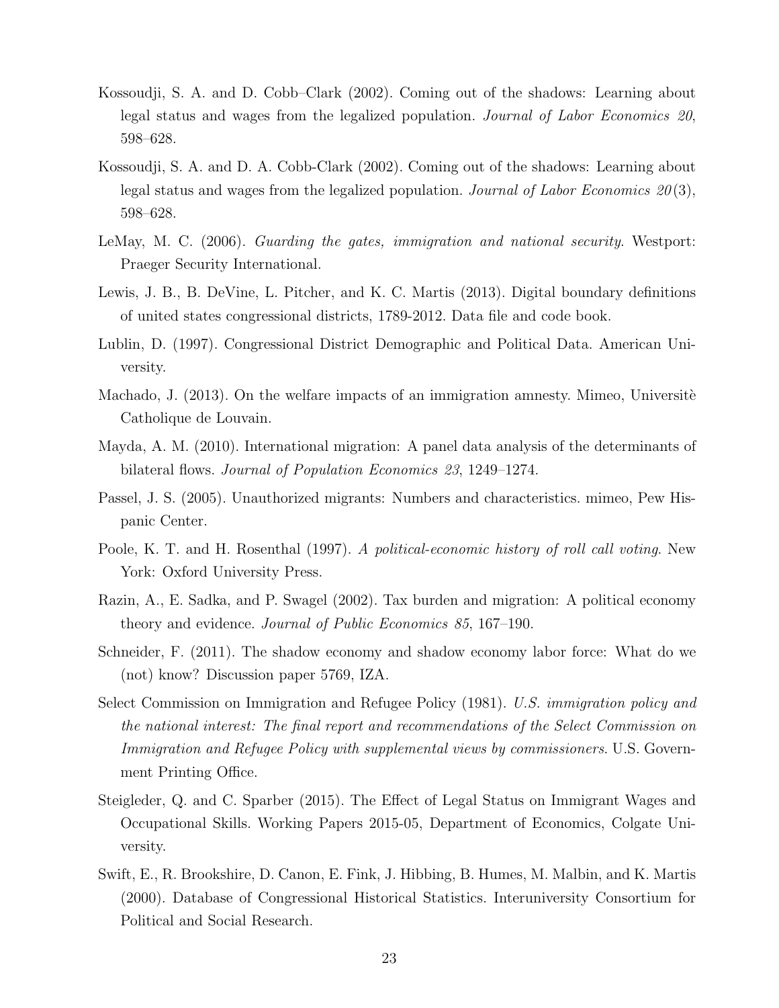- Kossoudji, S. A. and D. Cobb–Clark (2002). Coming out of the shadows: Learning about legal status and wages from the legalized population. *Journal of Labor Economics 20*, 598–628.
- Kossoudji, S. A. and D. A. Cobb-Clark (2002). Coming out of the shadows: Learning about legal status and wages from the legalized population. *Journal of Labor Economics 20* (3), 598–628.
- LeMay, M. C. (2006). *Guarding the gates, immigration and national security*. Westport: Praeger Security International.
- Lewis, J. B., B. DeVine, L. Pitcher, and K. C. Martis (2013). Digital boundary definitions of united states congressional districts, 1789-2012. Data file and code book.
- Lublin, D. (1997). Congressional District Demographic and Political Data. American University.
- Machado, J. (2013). On the welfare impacts of an immigration amnesty. Mimeo, Universite Catholique de Louvain.
- Mayda, A. M. (2010). International migration: A panel data analysis of the determinants of bilateral flows. *Journal of Population Economics 23*, 1249–1274.
- Passel, J. S. (2005). Unauthorized migrants: Numbers and characteristics. mimeo, Pew Hispanic Center.
- Poole, K. T. and H. Rosenthal (1997). *A political-economic history of roll call voting*. New York: Oxford University Press.
- Razin, A., E. Sadka, and P. Swagel (2002). Tax burden and migration: A political economy theory and evidence. *Journal of Public Economics 85*, 167–190.
- Schneider, F. (2011). The shadow economy and shadow economy labor force: What do we (not) know? Discussion paper 5769, IZA.
- Select Commission on Immigration and Refugee Policy (1981). *U.S. immigration policy and the national interest: The final report and recommendations of the Select Commission on Immigration and Refugee Policy with supplemental views by commissioners*. U.S. Government Printing Office.
- Steigleder, Q. and C. Sparber (2015). The Effect of Legal Status on Immigrant Wages and Occupational Skills. Working Papers 2015-05, Department of Economics, Colgate University.
- Swift, E., R. Brookshire, D. Canon, E. Fink, J. Hibbing, B. Humes, M. Malbin, and K. Martis (2000). Database of Congressional Historical Statistics. Interuniversity Consortium for Political and Social Research.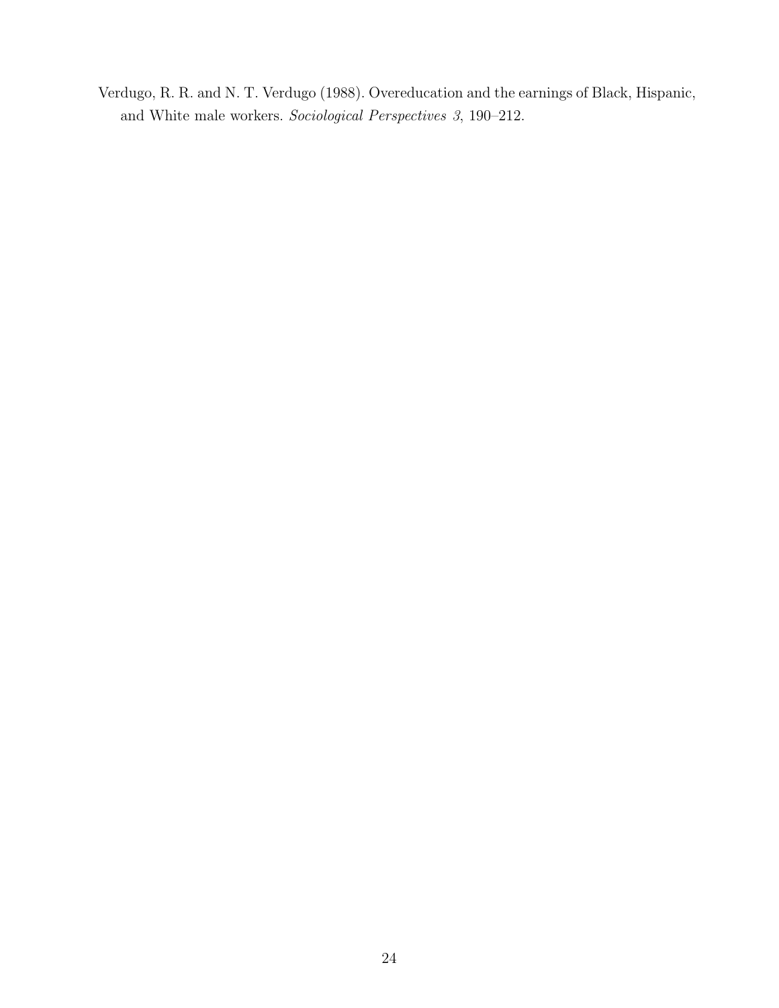Verdugo, R. R. and N. T. Verdugo (1988). Overeducation and the earnings of Black, Hispanic, and White male workers. *Sociological Perspectives 3*, 190–212.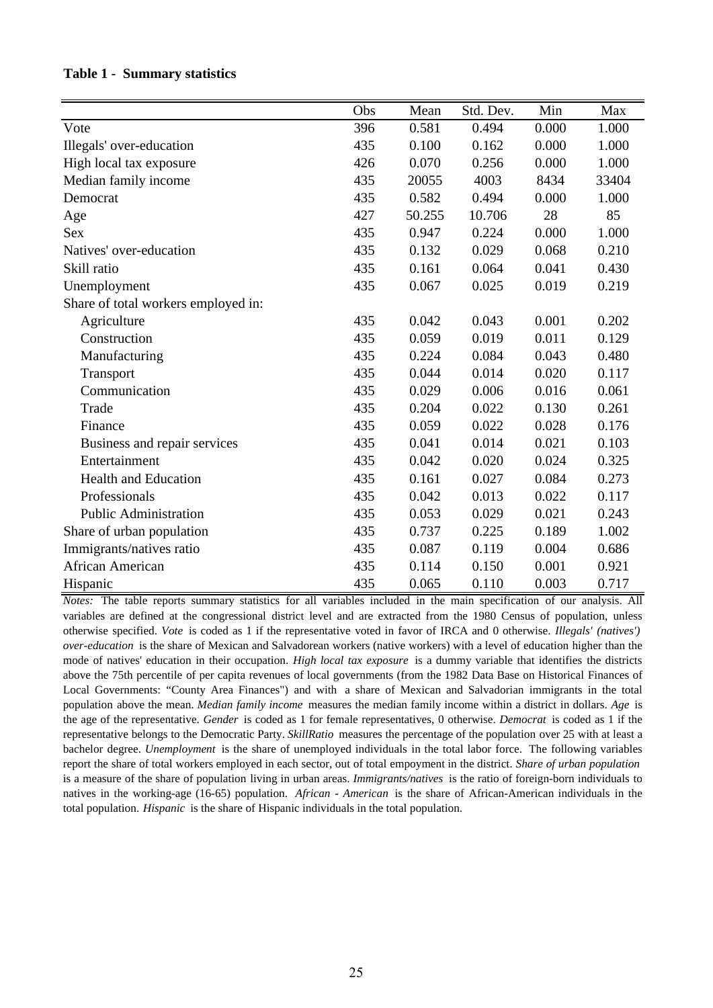|                                     | Obs | Mean   | Std. Dev. | Min   | Max   |
|-------------------------------------|-----|--------|-----------|-------|-------|
| Vote                                | 396 | 0.581  | 0.494     | 0.000 | 1.000 |
| Illegals' over-education            | 435 | 0.100  | 0.162     | 0.000 | 1.000 |
| High local tax exposure             | 426 | 0.070  | 0.256     | 0.000 | 1.000 |
| Median family income                | 435 | 20055  | 4003      | 8434  | 33404 |
| Democrat                            | 435 | 0.582  | 0.494     | 0.000 | 1.000 |
| Age                                 | 427 | 50.255 | 10.706    | 28    | 85    |
| <b>Sex</b>                          | 435 | 0.947  | 0.224     | 0.000 | 1.000 |
| Natives' over-education             | 435 | 0.132  | 0.029     | 0.068 | 0.210 |
| Skill ratio                         | 435 | 0.161  | 0.064     | 0.041 | 0.430 |
| Unemployment                        | 435 | 0.067  | 0.025     | 0.019 | 0.219 |
| Share of total workers employed in: |     |        |           |       |       |
| Agriculture                         | 435 | 0.042  | 0.043     | 0.001 | 0.202 |
| Construction                        | 435 | 0.059  | 0.019     | 0.011 | 0.129 |
| Manufacturing                       | 435 | 0.224  | 0.084     | 0.043 | 0.480 |
| Transport                           | 435 | 0.044  | 0.014     | 0.020 | 0.117 |
| Communication                       | 435 | 0.029  | 0.006     | 0.016 | 0.061 |
| Trade                               | 435 | 0.204  | 0.022     | 0.130 | 0.261 |
| Finance                             | 435 | 0.059  | 0.022     | 0.028 | 0.176 |
| Business and repair services        | 435 | 0.041  | 0.014     | 0.021 | 0.103 |
| Entertainment                       | 435 | 0.042  | 0.020     | 0.024 | 0.325 |
| <b>Health and Education</b>         | 435 | 0.161  | 0.027     | 0.084 | 0.273 |
| Professionals                       | 435 | 0.042  | 0.013     | 0.022 | 0.117 |
| <b>Public Administration</b>        | 435 | 0.053  | 0.029     | 0.021 | 0.243 |
| Share of urban population           | 435 | 0.737  | 0.225     | 0.189 | 1.002 |
| Immigrants/natives ratio            | 435 | 0.087  | 0.119     | 0.004 | 0.686 |
| African American                    | 435 | 0.114  | 0.150     | 0.001 | 0.921 |
| Hispanic                            | 435 | 0.065  | 0.110     | 0.003 | 0.717 |

#### **Table 1 - Summary statistics**

*Notes:* The table reports summary statistics for all variables included in the main specification of our analysis. All variables are defined at the congressional district level and are extracted from the 1980 Census of population, unless otherwise specified. *Vote* is coded as 1 if the representative voted in favor of IRCA and 0 otherwise. *Illegals' (natives') over-education* is the share of Mexican and Salvadorean workers (native workers) with a level of education higher than the mode of natives' education in their occupation. *High local tax exposure* is a dummy variable that identifies the districts above the 75th percentile of per capita revenues of local governments (from the 1982 Data Base on Historical Finances of Local Governments: "County Area Finances") and with a share of Mexican and Salvadorian immigrants in the total population above the mean. *Median family income* measures the median family income within a district in dollars. *Age* is the age of the representative. *Gender* is coded as 1 for female representatives, 0 otherwise. *Democrat* is coded as 1 if the representative belongs to the Democratic Party. *SkillRatio* measures the percentage of the population over 25 with at least a bachelor degree. *Unemployment* is the share of unemployed individuals in the total labor force. The following variables report the share of total workers employed in each sector, out of total empoyment in the district. *Share of urban population* is a measure of the share of population living in urban areas. *Immigrants/natives* is the ratio of foreign-born individuals to natives in the working-age (16-65) population. *African - American* is the share of African-American individuals in the total population. *Hispanic* is the share of Hispanic individuals in the total population.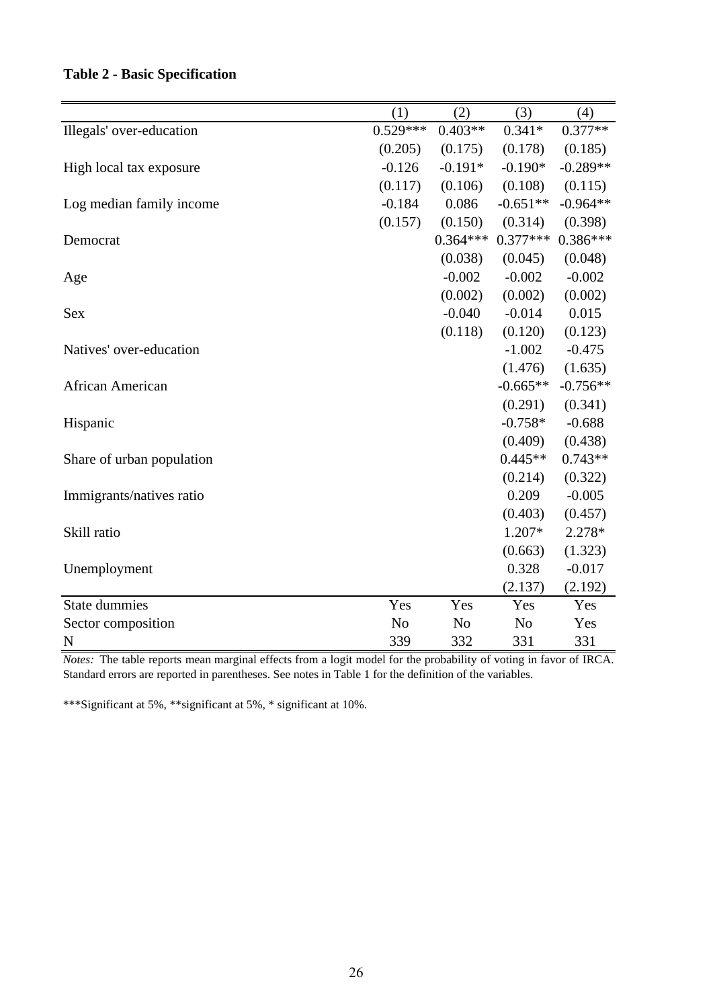#### **Table 2 - Basic Specification**

|                           | (1)            | (2)            | (3)            | (4)        |
|---------------------------|----------------|----------------|----------------|------------|
| Illegals' over-education  | $0.529***$     | $0.403**$      | $0.341*$       | $0.377**$  |
|                           | (0.205)        | (0.175)        | (0.178)        | (0.185)    |
| High local tax exposure   | $-0.126$       | $-0.191*$      | $-0.190*$      | $-0.289**$ |
|                           | (0.117)        | (0.106)        | (0.108)        | (0.115)    |
| Log median family income  | $-0.184$       | 0.086          | $-0.651**$     | $-0.964**$ |
|                           | (0.157)        | (0.150)        | (0.314)        | (0.398)    |
| Democrat                  |                | $0.364***$     | $0.377***$     | $0.386***$ |
|                           |                | (0.038)        | (0.045)        | (0.048)    |
| Age                       |                | $-0.002$       | $-0.002$       | $-0.002$   |
|                           |                | (0.002)        | (0.002)        | (0.002)    |
| <b>Sex</b>                |                | $-0.040$       | $-0.014$       | 0.015      |
|                           |                | (0.118)        | (0.120)        | (0.123)    |
| Natives' over-education   |                |                | $-1.002$       | $-0.475$   |
|                           |                |                | (1.476)        | (1.635)    |
| African American          |                |                | $-0.665**$     | $-0.756**$ |
|                           |                |                | (0.291)        | (0.341)    |
| Hispanic                  |                |                | $-0.758*$      | $-0.688$   |
|                           |                |                | (0.409)        | (0.438)    |
| Share of urban population |                |                | $0.445**$      | $0.743**$  |
|                           |                |                | (0.214)        | (0.322)    |
| Immigrants/natives ratio  |                |                | 0.209          | $-0.005$   |
|                           |                |                | (0.403)        | (0.457)    |
| Skill ratio               |                |                | 1.207*         | 2.278*     |
|                           |                |                | (0.663)        | (1.323)    |
| Unemployment              |                |                | 0.328          | $-0.017$   |
|                           |                |                | (2.137)        | (2.192)    |
| <b>State dummies</b>      | Yes            | Yes            | Yes            | Yes        |
| Sector composition        | N <sub>o</sub> | N <sub>o</sub> | N <sub>o</sub> | Yes        |
| $\mathbf N$               | 339            | 332            | 331            | 331        |

*Notes:* The table reports mean marginal effects from a logit model for the probability of voting in favor of IRCA. Standard errors are reported in parentheses. See notes in Table 1 for the definition of the variables.

\*\*\*Significant at 5%, \*\*significant at 5%, \* significant at 10%.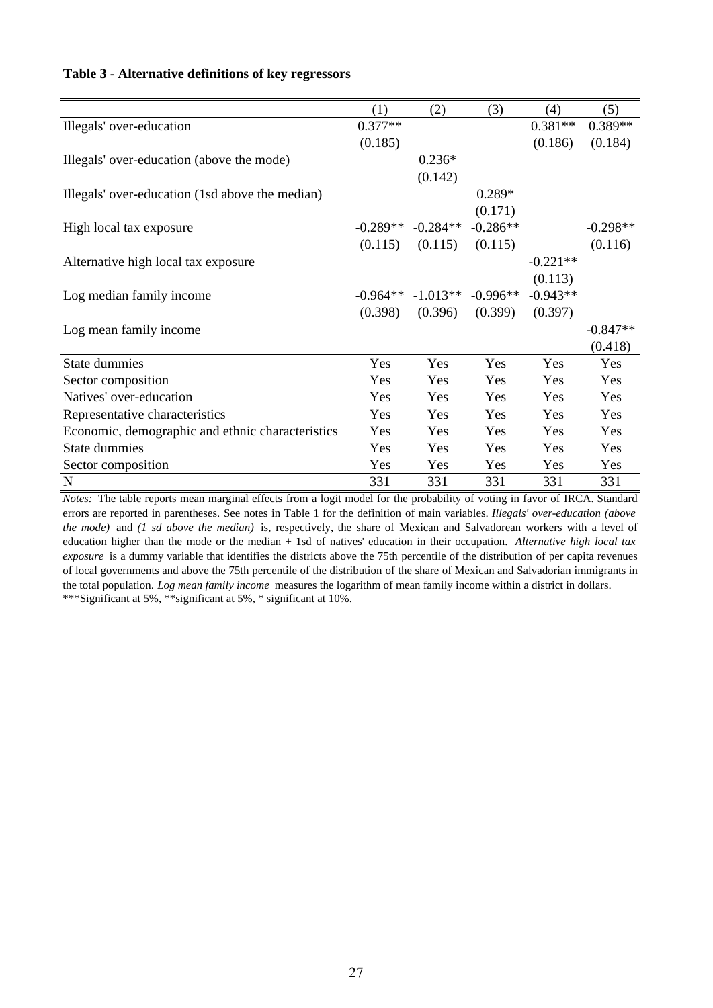|                                                  | (1)        | (2)        | (3)        | (4)        | (5)        |
|--------------------------------------------------|------------|------------|------------|------------|------------|
| Illegals' over-education                         | $0.377**$  |            |            | $0.381**$  | 0.389**    |
|                                                  | (0.185)    |            |            | (0.186)    | (0.184)    |
| Illegals' over-education (above the mode)        |            | $0.236*$   |            |            |            |
|                                                  |            | (0.142)    |            |            |            |
| Illegals' over-education (1sd above the median)  |            |            | $0.289*$   |            |            |
|                                                  |            |            | (0.171)    |            |            |
| High local tax exposure                          | $-0.289**$ | $-0.284**$ | $-0.286**$ |            | $-0.298**$ |
|                                                  | (0.115)    | (0.115)    | (0.115)    |            | (0.116)    |
| Alternative high local tax exposure              |            |            |            | $-0.221**$ |            |
|                                                  |            |            |            | (0.113)    |            |
| Log median family income                         | $-0.964**$ | $-1.013**$ | $-0.996**$ | $-0.943**$ |            |
|                                                  | (0.398)    | (0.396)    | (0.399)    | (0.397)    |            |
| Log mean family income                           |            |            |            |            | $-0.847**$ |
|                                                  |            |            |            |            | (0.418)    |
| <b>State dummies</b>                             | Yes        | Yes        | Yes        | Yes        | Yes        |
| Sector composition                               | Yes        | Yes        | Yes        | Yes        | Yes        |
| Natives' over-education                          | Yes        | <b>Yes</b> | Yes        | Yes        | Yes        |
| Representative characteristics                   | Yes        | Yes        | Yes        | Yes        | Yes        |
| Economic, demographic and ethnic characteristics | Yes        | Yes        | Yes        | Yes        | Yes        |
| State dummies                                    | Yes        | Yes        | Yes        | Yes        | Yes        |
| Sector composition                               | Yes        | Yes        | Yes        | Yes        | Yes        |
| $\mathbf N$                                      | 331        | 331        | 331        | 331        | 331        |

#### **Table 3 - Alternative definitions of key regressors**

*Notes:* The table reports mean marginal effects from a logit model for the probability of voting in favor of IRCA. Standard errors are reported in parentheses. See notes in Table 1 for the definition of main variables. *Illegals' over-education (above the mode)* and *(1 sd above the median)* is, respectively, the share of Mexican and Salvadorean workers with a level of education higher than the mode or the median + 1sd of natives' education in their occupation. *Alternative high local tax exposure* is a dummy variable that identifies the districts above the 75th percentile of the distribution of per capita revenues of local governments and above the 75th percentile of the distribution of the share of Mexican and Salvadorian immigrants in the total population. *Log mean family income* measures the logarithm of mean family income within a district in dollars. \*\*\*Significant at 5%, \*\*significant at 5%, \* significant at 10%.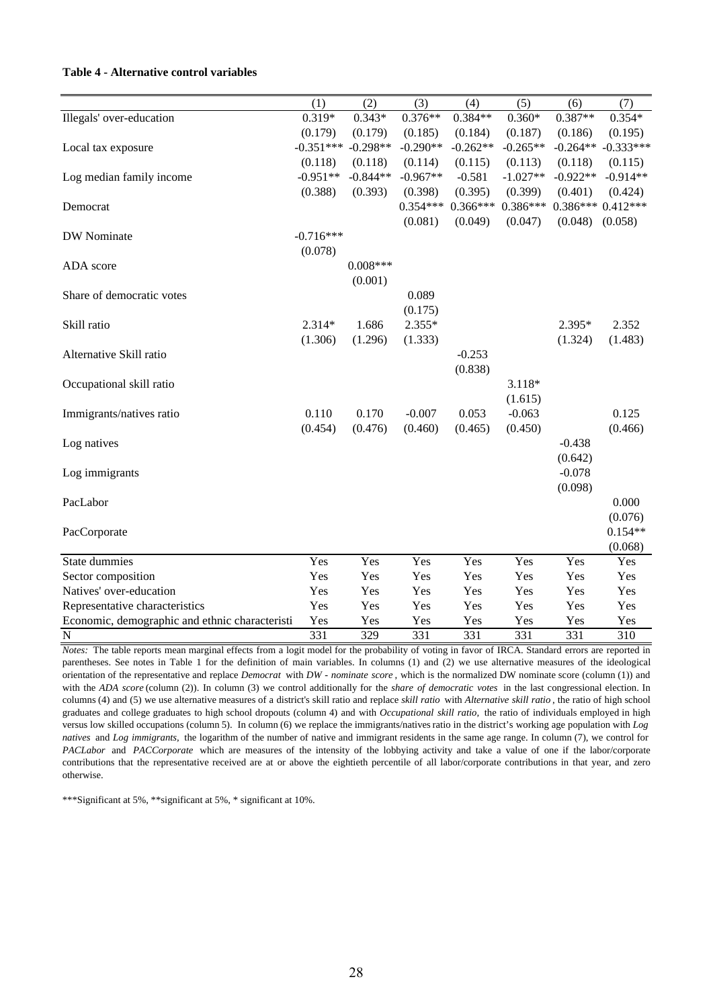#### **Table 4 - Alternative control variables**

|                                                | (1)         | (2)        | (3)        | (4)        | (5)        | (6)        | (7)                |
|------------------------------------------------|-------------|------------|------------|------------|------------|------------|--------------------|
| Illegals' over-education                       | $0.319*$    | $0.343*$   | $0.376**$  | $0.384**$  | $0.360*$   | $0.387**$  | $0.354*$           |
|                                                | (0.179)     | (0.179)    | (0.185)    | (0.184)    | (0.187)    | (0.186)    | (0.195)            |
| Local tax exposure                             | $-0.351***$ | $-0.298**$ | $-0.290**$ | $-0.262**$ | $-0.265**$ | $-0.264**$ | $-0.333***$        |
|                                                | (0.118)     | (0.118)    | (0.114)    | (0.115)    | (0.113)    | (0.118)    | (0.115)            |
| Log median family income                       | $-0.951**$  | $-0.844**$ | $-0.967**$ | $-0.581$   | $-1.027**$ | $-0.922**$ | $-0.914**$         |
|                                                | (0.388)     | (0.393)    | (0.398)    | (0.395)    | (0.399)    | (0.401)    | (0.424)            |
| Democrat                                       |             |            | $0.354***$ | $0.366***$ | $0.386***$ |            | $0.386***0.412***$ |
|                                                |             |            | (0.081)    | (0.049)    | (0.047)    | (0.048)    | (0.058)            |
| DW Nominate                                    | $-0.716***$ |            |            |            |            |            |                    |
|                                                | (0.078)     |            |            |            |            |            |                    |
| ADA score                                      |             | $0.008***$ |            |            |            |            |                    |
|                                                |             | (0.001)    |            |            |            |            |                    |
| Share of democratic votes                      |             |            | 0.089      |            |            |            |                    |
|                                                |             |            | (0.175)    |            |            |            |                    |
| Skill ratio                                    | 2.314*      | 1.686      | $2.355*$   |            |            | 2.395*     | 2.352              |
|                                                | (1.306)     | (1.296)    | (1.333)    |            |            | (1.324)    | (1.483)            |
| Alternative Skill ratio                        |             |            |            | $-0.253$   |            |            |                    |
|                                                |             |            |            | (0.838)    |            |            |                    |
| Occupational skill ratio                       |             |            |            |            | 3.118*     |            |                    |
|                                                |             |            |            |            | (1.615)    |            |                    |
| Immigrants/natives ratio                       | 0.110       | 0.170      | $-0.007$   | 0.053      | $-0.063$   |            | 0.125              |
|                                                | (0.454)     | (0.476)    | (0.460)    | (0.465)    | (0.450)    |            | (0.466)            |
| Log natives                                    |             |            |            |            |            | $-0.438$   |                    |
|                                                |             |            |            |            |            | (0.642)    |                    |
| Log immigrants                                 |             |            |            |            |            | $-0.078$   |                    |
|                                                |             |            |            |            |            | (0.098)    |                    |
| PacLabor                                       |             |            |            |            |            |            | 0.000              |
|                                                |             |            |            |            |            |            | (0.076)            |
| PacCorporate                                   |             |            |            |            |            |            | $0.154**$          |
|                                                |             |            |            |            |            |            | (0.068)            |
| State dummies                                  | Yes         | Yes        | Yes        | Yes        | Yes        | Yes        | Yes                |
| Sector composition                             | Yes         | Yes        | Yes        | Yes        | Yes        | Yes        | Yes                |
| Natives' over-education                        | Yes         | Yes        | Yes        | Yes        | Yes        | Yes        | Yes                |
| Representative characteristics                 | Yes         | Yes        | Yes        | Yes        | Yes        | Yes        | Yes                |
| Economic, demographic and ethnic characteristi | Yes         | Yes        | Yes        | Yes        | Yes        | Yes        | Yes                |
| $\mathbf N$                                    | 331         | 329        | 331        | 331        | 331        | 331        | 310                |

*Notes:* The table reports mean marginal effects from a logit model for the probability of voting in favor of IRCA. Standard errors are reported in parentheses. See notes in Table 1 for the definition of main variables. In columns (1) and (2) we use alternative measures of the ideological orientation of the representative and replace *Democrat* with *DW - nominate score* , which is the normalized DW nominate score (column (1)) and with the *ADA score* (column (2)). In column (3) we control additionally for the *share of democratic votes* in the last congressional election. In columns (4) and (5) we use alternative measures of a district's skill ratio and replace *skill ratio* with *Alternative skill ratio* , the ratio of high school graduates and college graduates to high school dropouts (column 4) and with *Occupational skill ratio,* the ratio of individuals employed in high versus low skilled occupations (column 5). In column (6) we replace the immigrants/natives ratio in the district's working age population with *Log natives* and *Log immigrants,* the logarithm of the number of native and immigrant residents in the same age range. In column (7), we control for *PACLabor* and *PACCorporate* which are measures of the intensity of the lobbying activity and take a value of one if the labor/corporate contributions that the representative received are at or above the eightieth percentile of all labor/corporate contributions in that year, and zero otherwise.

\*\*\*Significant at 5%, \*\*significant at 5%, \* significant at 10%.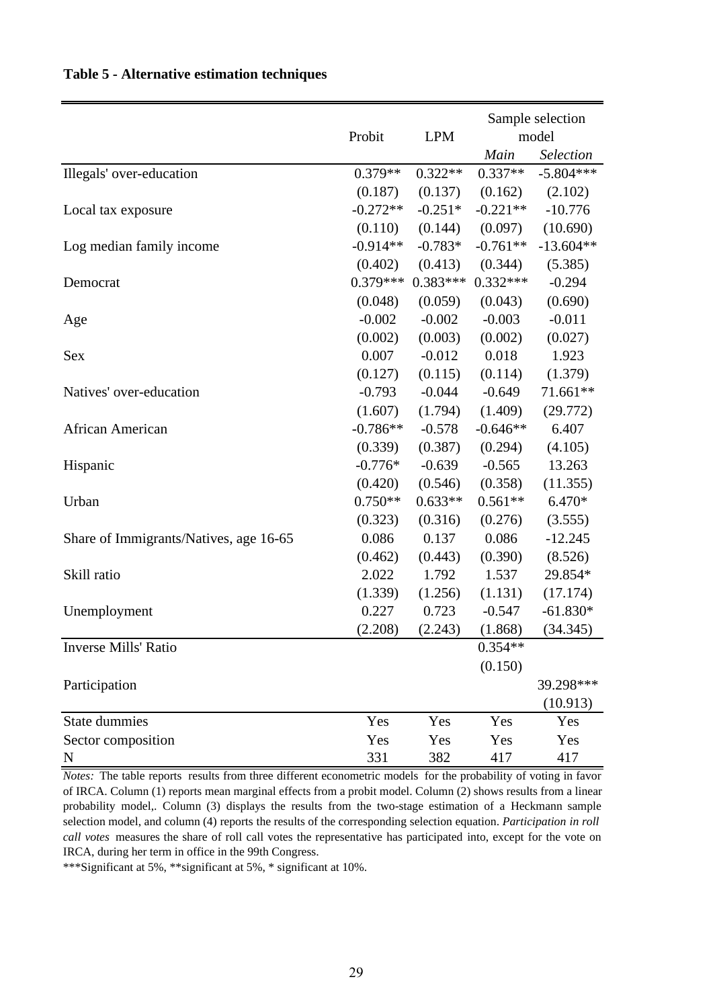|                                        |            |            | Sample selection |             |  |
|----------------------------------------|------------|------------|------------------|-------------|--|
|                                        | Probit     | <b>LPM</b> |                  | model       |  |
|                                        |            |            | Main             | Selection   |  |
| Illegals' over-education               | $0.379**$  | $0.322**$  | $0.337**$        | $-5.804***$ |  |
|                                        | (0.187)    | (0.137)    | (0.162)          | (2.102)     |  |
| Local tax exposure                     | $-0.272**$ | $-0.251*$  | $-0.221**$       | $-10.776$   |  |
|                                        | (0.110)    | (0.144)    | (0.097)          | (10.690)    |  |
| Log median family income               | $-0.914**$ | $-0.783*$  | $-0.761**$       | $-13.604**$ |  |
|                                        | (0.402)    | (0.413)    | (0.344)          | (5.385)     |  |
| Democrat                               | $0.379***$ | $0.383***$ | $0.332***$       | $-0.294$    |  |
|                                        | (0.048)    | (0.059)    | (0.043)          | (0.690)     |  |
| Age                                    | $-0.002$   | $-0.002$   | $-0.003$         | $-0.011$    |  |
|                                        | (0.002)    | (0.003)    | (0.002)          | (0.027)     |  |
| <b>Sex</b>                             | 0.007      | $-0.012$   | 0.018            | 1.923       |  |
|                                        | (0.127)    | (0.115)    | (0.114)          | (1.379)     |  |
| Natives' over-education                | $-0.793$   | $-0.044$   | $-0.649$         | 71.661**    |  |
|                                        | (1.607)    | (1.794)    | (1.409)          | (29.772)    |  |
| African American                       | $-0.786**$ | $-0.578$   | $-0.646**$       | 6.407       |  |
|                                        | (0.339)    | (0.387)    | (0.294)          | (4.105)     |  |
| Hispanic                               | $-0.776*$  | $-0.639$   | $-0.565$         | 13.263      |  |
|                                        | (0.420)    | (0.546)    | (0.358)          | (11.355)    |  |
| Urban                                  | $0.750**$  | $0.633**$  | $0.561**$        | $6.470*$    |  |
|                                        | (0.323)    | (0.316)    | (0.276)          | (3.555)     |  |
| Share of Immigrants/Natives, age 16-65 | 0.086      | 0.137      | 0.086            | $-12.245$   |  |
|                                        | (0.462)    | (0.443)    | (0.390)          | (8.526)     |  |
| Skill ratio                            | 2.022      | 1.792      | 1.537            | 29.854*     |  |
|                                        | (1.339)    | (1.256)    | (1.131)          | (17.174)    |  |
| Unemployment                           | 0.227      | 0.723      | $-0.547$         | $-61.830*$  |  |
|                                        | (2.208)    | (2.243)    | (1.868)          | (34.345)    |  |
| Inverse Mills' Ratio                   |            |            | $0.354**$        |             |  |
|                                        |            |            | (0.150)          |             |  |
| Participation                          |            |            |                  | 39.298***   |  |
|                                        |            |            |                  | (10.913)    |  |
| State dummies                          | Yes        | Yes        | Yes              | Yes         |  |
| Sector composition                     | Yes        | Yes        | Yes              | Yes         |  |
| N                                      | 331        | 382        | 417              | 417         |  |

*Notes:* The table reports results from three different econometric models for the probability of voting in favor of IRCA. Column (1) reports mean marginal effects from a probit model. Column (2) shows results from a linear probability model,. Column (3) displays the results from the two-stage estimation of a Heckmann sample selection model, and column (4) reports the results of the corresponding selection equation. *Participation in roll call votes* measures the share of roll call votes the representative has participated into, except for the vote on IRCA, during her term in office in the 99th Congress.

\*\*\*Significant at 5%, \*\*significant at 5%, \* significant at 10%.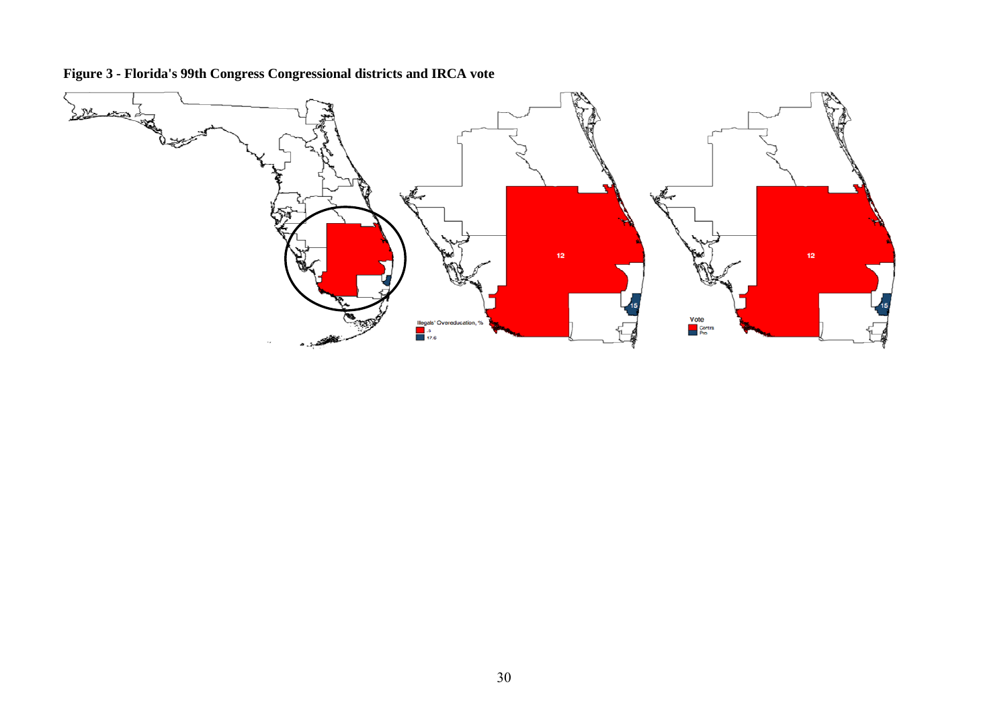

**Figure 3 - Florida's 99th Congress Congressional districts and IRCA vote**